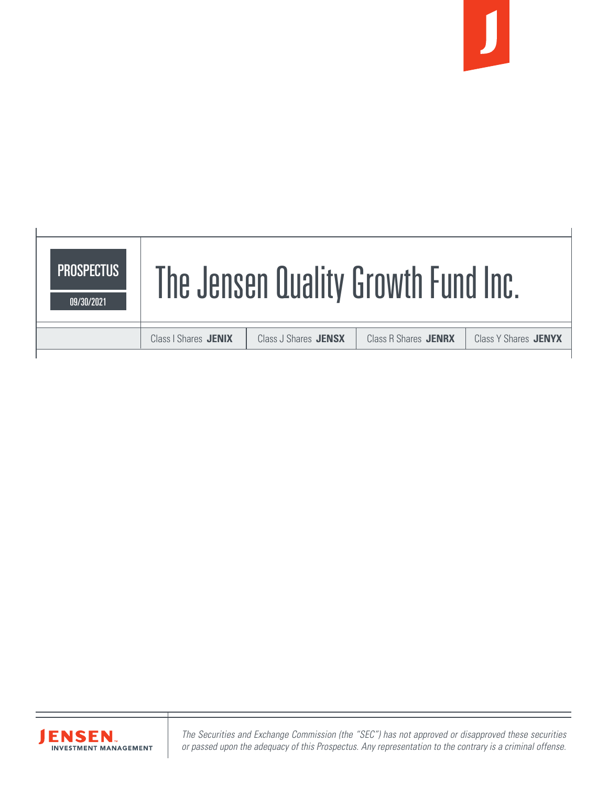





*The Securities and Exchange Commission (the "SEC") has not approved or disapproved these securities or passed upon the adequacy of this Prospectus. Any representation to the contrary is a criminal offense.*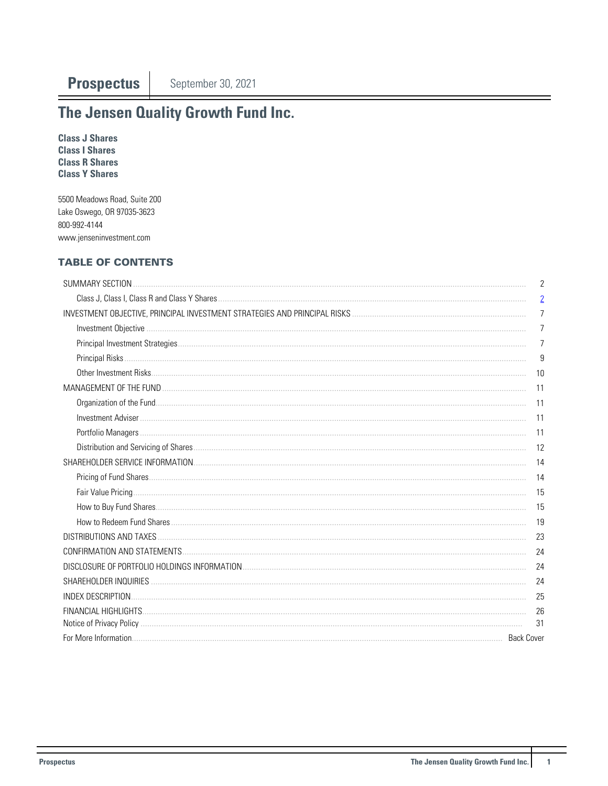## The Jensen Quality Growth Fund Inc.

**Class J Shares Class I Shares Class R Shares Class Y Shares** 

5500 Meadows Road, Suite 200 Lake Oswego, OR 97035-3623 800-992-4144 www.jenseninvestment.com

## **TABLE OF CONTENTS**

| SUMMARY SECTION          | 2              |
|--------------------------|----------------|
|                          | $\overline{2}$ |
|                          | $\overline{7}$ |
|                          | $\overline{7}$ |
|                          | $\overline{7}$ |
|                          | 9              |
|                          | 10             |
|                          | 11             |
|                          |                |
|                          | -11            |
|                          |                |
|                          | 12             |
|                          |                |
|                          |                |
|                          | - 15           |
|                          | 15             |
|                          | 19             |
| DISTRIBUTIONS AND TAXES. | 23             |
|                          | 24             |
|                          | 24             |
|                          | 24             |
|                          | 25             |
|                          | 26             |
|                          | -31            |
|                          |                |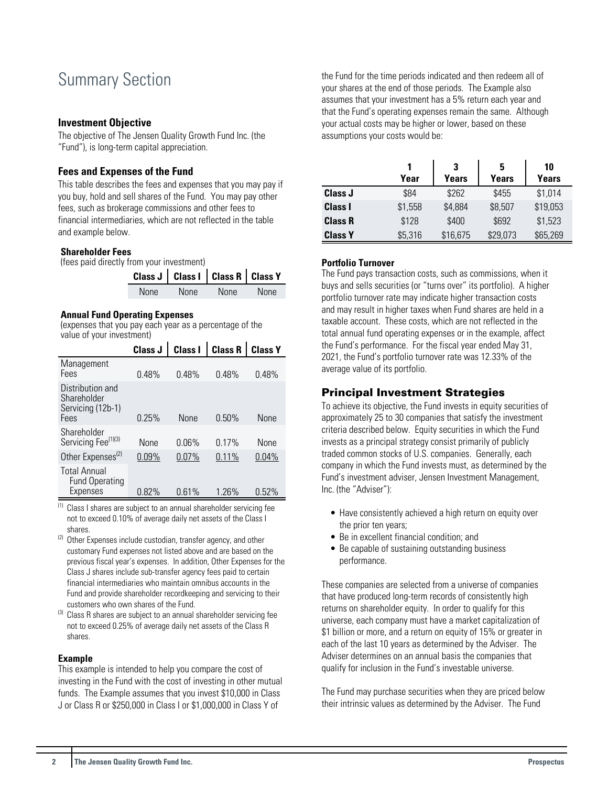## <span id="page-2-0"></span>Summary Section

#### **Investment Objective**

The objective of The Jensen Quality Growth Fund Inc. (the "Fund"), is long-term capital appreciation.

## **Fees and Expenses of the Fund**

This table describes the fees and expenses that you may pay if you buy, hold and sell shares of the Fund. You may pay other fees, such as brokerage commissions and other fees to financial intermediaries, which are not reflected in the table and example below.

#### **Shareholder Fees**

(fees paid directly from your investment)

|             | Class J   Class I   Class R   Class Y |             |       |
|-------------|---------------------------------------|-------------|-------|
| <b>None</b> | None                                  | <b>None</b> | None. |

#### **Annual Fund Operating Expenses**

(expenses that you pay each year as a percentage of the value of your investment)

|                                                              | <b>Class J</b> | <b>Class I</b> | <b>Class R</b> | <b>Class Y</b> |
|--------------------------------------------------------------|----------------|----------------|----------------|----------------|
| Management<br>Fees                                           | 0.48%          | 0.48%          | 0.48%          | 0.48%          |
| Distribution and<br>Shareholder<br>Servicing (12b-1)<br>Fees | 0.25%          | None           | $0.50\%$       | None           |
| Shareholder<br>Servicing Fee <sup>(1)(3)</sup>               | <b>None</b>    | በ በ6%          | 0.17%          | <b>None</b>    |
| Other Expenses <sup>(2)</sup>                                | $0.09\%$       | $0.07\%$       | 0.11%          | 0.04%          |
| <b>Total Annual</b><br><b>Fund Operating</b><br>Expenses     | 0.82%          | 0.61%          | 1.26%          | $0.52\%$       |

 $(1)$  Class I shares are subject to an annual shareholder servicing fee not to exceed 0.10% of average daily net assets of the Class I shares.

- <sup>(2)</sup> Other Expenses include custodian, transfer agency, and other customary Fund expenses not listed above and are based on the previous fiscal year's expenses. In addition, Other Expenses for the Class J shares include sub-transfer agency fees paid to certain financial intermediaries who maintain omnibus accounts in the Fund and provide shareholder recordkeeping and servicing to their customers who own shares of the Fund.
- <sup>(3)</sup> Class R shares are subject to an annual shareholder servicing fee not to exceed 0.25% of average daily net assets of the Class R shares.

#### **Example**

This example is intended to help you compare the cost of investing in the Fund with the cost of investing in other mutual funds. The Example assumes that you invest \$10,000 in Class J or Class R or \$250,000 in Class I or \$1,000,000 in Class Y of

the Fund for the time periods indicated and then redeem all of your shares at the end of those periods. The Example also assumes that your investment has a 5% return each year and that the Fund's operating expenses remain the same. Although your actual costs may be higher or lower, based on these assumptions your costs would be:

|                | 1       | 3        | 5        | 10       |
|----------------|---------|----------|----------|----------|
|                | Year    | Years    | Years    | Years    |
| Class J        | \$84    | \$262    | \$455    | \$1,014  |
| <b>Class I</b> | \$1,558 | \$4,884  | \$8,507  | \$19,053 |
| <b>Class R</b> | \$128   | \$400    | \$692    | \$1,523  |
| <b>Class Y</b> | \$5,316 | \$16,675 | \$29,073 | \$65,269 |

## **Portfolio Turnover**

The Fund pays transaction costs, such as commissions, when it buys and sells securities (or "turns over" its portfolio). A higher portfolio turnover rate may indicate higher transaction costs and may result in higher taxes when Fund shares are held in a taxable account. These costs, which are not reflected in the total annual fund operating expenses or in the example, affect the Fund's performance. For the fiscal year ended May 31, 2021, the Fund's portfolio turnover rate was 12.33% of the average value of its portfolio.

## Principal Investment Strategies

To achieve its objective, the Fund invests in equity securities of approximately 25 to 30 companies that satisfy the investment criteria described below. Equity securities in which the Fund invests as a principal strategy consist primarily of publicly traded common stocks of U.S. companies. Generally, each company in which the Fund invests must, as determined by the Fund's investment adviser, Jensen Investment Management, Inc. (the "Adviser"):

- Have consistently achieved a high return on equity over the prior ten years;
- Be in excellent financial condition; and
- Be capable of sustaining outstanding business performance.

These companies are selected from a universe of companies that have produced long-term records of consistently high returns on shareholder equity. In order to qualify for this universe, each company must have a market capitalization of \$1 billion or more, and a return on equity of 15% or greater in each of the last 10 years as determined by the Adviser. The Adviser determines on an annual basis the companies that qualify for inclusion in the Fund's investable universe.

The Fund may purchase securities when they are priced below their intrinsic values as determined by the Adviser. The Fund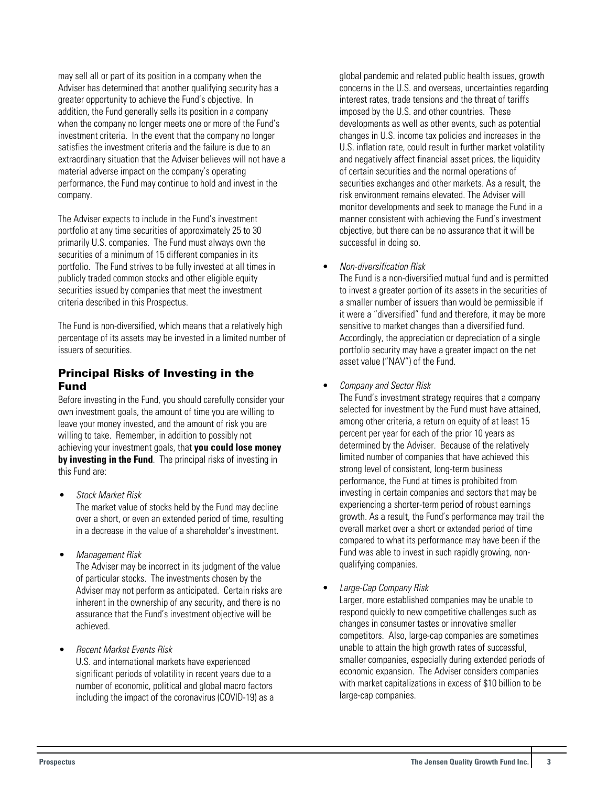may sell all or part of its position in a company when the Adviser has determined that another qualifying security has a greater opportunity to achieve the Fund's objective. In addition, the Fund generally sells its position in a company when the company no longer meets one or more of the Fund's investment criteria. In the event that the company no longer satisfies the investment criteria and the failure is due to an extraordinary situation that the Adviser believes will not have a material adverse impact on the company's operating performance, the Fund may continue to hold and invest in the company.

The Adviser expects to include in the Fund's investment portfolio at any time securities of approximately 25 to 30 primarily U.S. companies. The Fund must always own the securities of a minimum of 15 different companies in its portfolio. The Fund strives to be fully invested at all times in publicly traded common stocks and other eligible equity securities issued by companies that meet the investment criteria described in this Prospectus.

The Fund is non-diversified, which means that a relatively high percentage of its assets may be invested in a limited number of issuers of securities.

## Principal Risks of Investing in the Fund

Before investing in the Fund, you should carefully consider your own investment goals, the amount of time you are willing to leave your money invested, and the amount of risk you are willing to take. Remember, in addition to possibly not achieving your investment goals, that **you could lose money by investing in the Fund**. The principal risks of investing in this Fund are:

- Stock Market Risk The market value of stocks held by the Fund may decline over a short, or even an extended period of time, resulting in a decrease in the value of a shareholder's investment.
- Management Risk

The Adviser may be incorrect in its judgment of the value of particular stocks. The investments chosen by the Adviser may not perform as anticipated. Certain risks are inherent in the ownership of any security, and there is no assurance that the Fund's investment objective will be achieved.

• Recent Market Events Risk

U.S. and international markets have experienced significant periods of volatility in recent years due to a number of economic, political and global macro factors including the impact of the coronavirus (COVID-19) as a

global pandemic and related public health issues, growth concerns in the U.S. and overseas, uncertainties regarding interest rates, trade tensions and the threat of tariffs imposed by the U.S. and other countries. These developments as well as other events, such as potential changes in U.S. income tax policies and increases in the U.S. inflation rate, could result in further market volatility and negatively affect financial asset prices, the liquidity of certain securities and the normal operations of securities exchanges and other markets. As a result, the risk environment remains elevated. The Adviser will monitor developments and seek to manage the Fund in a manner consistent with achieving the Fund's investment objective, but there can be no assurance that it will be successful in doing so.

• Non-diversification Risk

The Fund is a non-diversified mutual fund and is permitted to invest a greater portion of its assets in the securities of a smaller number of issuers than would be permissible if it were a "diversified" fund and therefore, it may be more sensitive to market changes than a diversified fund. Accordingly, the appreciation or depreciation of a single portfolio security may have a greater impact on the net asset value ("NAV") of the Fund.

• Company and Sector Risk

The Fund's investment strategy requires that a company selected for investment by the Fund must have attained, among other criteria, a return on equity of at least 15 percent per year for each of the prior 10 years as determined by the Adviser. Because of the relatively limited number of companies that have achieved this strong level of consistent, long-term business performance, the Fund at times is prohibited from investing in certain companies and sectors that may be experiencing a shorter-term period of robust earnings growth. As a result, the Fund's performance may trail the overall market over a short or extended period of time compared to what its performance may have been if the Fund was able to invest in such rapidly growing, nonqualifying companies.

• Large-Cap Company Risk

Larger, more established companies may be unable to respond quickly to new competitive challenges such as changes in consumer tastes or innovative smaller competitors. Also, large-cap companies are sometimes unable to attain the high growth rates of successful, smaller companies, especially during extended periods of economic expansion. The Adviser considers companies with market capitalizations in excess of \$10 billion to be large-cap companies.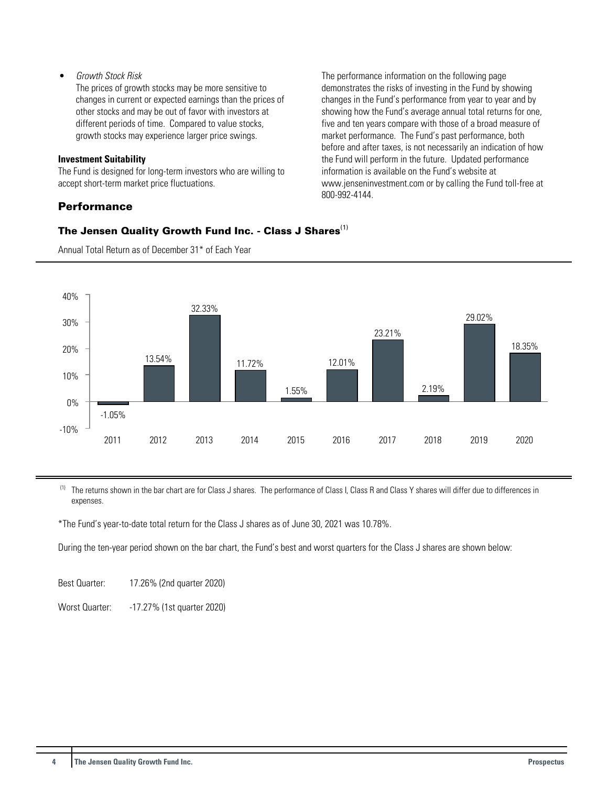## • Growth Stock Risk

The prices of growth stocks may be more sensitive to changes in current or expected earnings than the prices of other stocks and may be out of favor with investors at different periods of time. Compared to value stocks, growth stocks may experience larger price swings.

#### **Investment Suitability**

The Fund is designed for long-term investors who are willing to accept short-term market price fluctuations.

## **Performance**

The performance information on the following page demonstrates the risks of investing in the Fund by showing changes in the Fund's performance from year to year and by showing how the Fund's average annual total returns for one, five and ten years compare with those of a broad measure of market performance. The Fund's past performance, both before and after taxes, is not necessarily an indication of how the Fund will perform in the future. Updated performance information is available on the Fund's website at www.jenseninvestment.com or by calling the Fund toll-free at 800-992-4144.

## The Jensen Quality Growth Fund Inc. - Class J Shares<sup>(1)</sup>



Annual Total Return as of December 31\* of Each Year

<sup>(1)</sup> The returns shown in the bar chart are for Class J shares. The performance of Class I, Class R and Class Y shares will differ due to differences in expenses.

\*The Fund's year-to-date total return for the Class J shares as of June 30, 2021 was 10.78%.

During the ten-year period shown on the bar chart, the Fund's best and worst quarters for the Class J shares are shown below:

Best Quarter: 17.26% (2nd quarter 2020)

Worst Quarter: -17.27% (1st quarter 2020)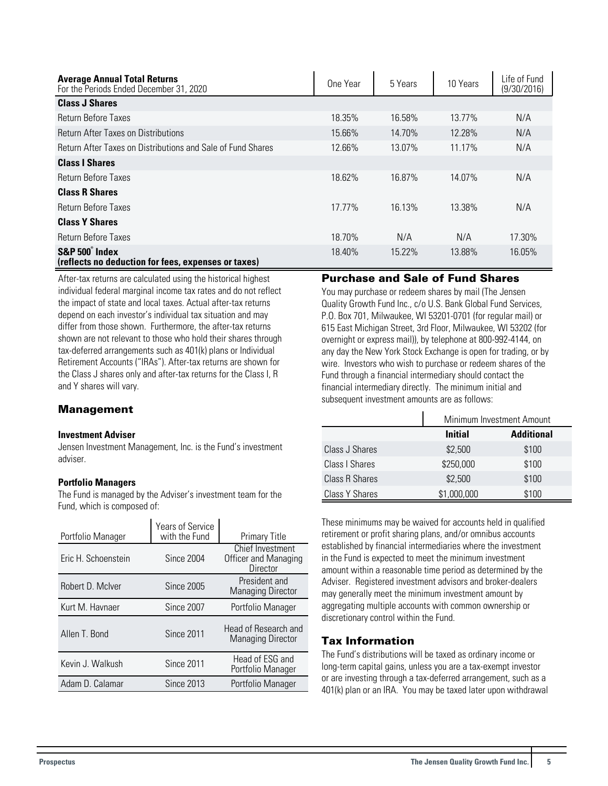| <b>Average Annual Total Returns</b><br>For the Periods Ended December 31, 2020 | One Year | 5 Years | 10 Years | Life of Fund<br>(9/30/2016) |
|--------------------------------------------------------------------------------|----------|---------|----------|-----------------------------|
| <b>Class J Shares</b>                                                          |          |         |          |                             |
| <b>Return Before Taxes</b>                                                     | 18.35%   | 16.58%  | 13.77%   | N/A                         |
| <b>Return After Taxes on Distributions</b>                                     | 15.66%   | 14.70%  | 12.28%   | N/A                         |
| Return After Taxes on Distributions and Sale of Fund Shares                    | 12.66%   | 13.07%  | 11.17%   | N/A                         |
| <b>Class I Shares</b>                                                          |          |         |          |                             |
| Return Before Taxes                                                            | 18.62%   | 16.87%  | 14.07%   | N/A                         |
| <b>Class R Shares</b>                                                          |          |         |          |                             |
| <b>Return Before Taxes</b>                                                     | 17.77%   | 16.13%  | 13.38%   | N/A                         |
| <b>Class Y Shares</b>                                                          |          |         |          |                             |
| Return Before Taxes                                                            | 18.70%   | N/A     | N/A      | 17.30%                      |
| S&P 500° Index<br>(reflects no deduction for fees, expenses or taxes)          | 18.40%   | 15.22%  | 13.88%   | 16.05%                      |

After-tax returns are calculated using the historical highest individual federal marginal income tax rates and do not reflect the impact of state and local taxes. Actual after-tax returns depend on each investor's individual tax situation and may differ from those shown. Furthermore, the after-tax returns shown are not relevant to those who hold their shares through tax-deferred arrangements such as 401(k) plans or Individual Retirement Accounts ("IRAs"). After-tax returns are shown for the Class J shares only and after-tax returns for the Class I, R and Y shares will vary.

## Management

#### **Investment Adviser**

Jensen Investment Management, Inc. is the Fund's investment adviser.

## **Portfolio Managers**

The Fund is managed by the Adviser's investment team for the Fund, which is composed of:

| Portfolio Manager   | Years of Service<br>with the Fund | <b>Primary Title</b>                                 |
|---------------------|-----------------------------------|------------------------------------------------------|
| Eric H. Schoenstein | <b>Since 2004</b>                 | Chief Investment<br>Officer and Managing<br>Director |
| Robert D. McIver    | <b>Since 2005</b>                 | President and<br><b>Managing Director</b>            |
| Kurt M. Havnaer     | Since 2007                        | Portfolio Manager                                    |
| Allen T. Bond       | <b>Since 2011</b>                 | Head of Research and<br><b>Managing Director</b>     |
| Kevin J. Walkush    | <b>Since 2011</b>                 | Head of ESG and<br>Portfolio Manager                 |
| Adam D. Calamar     | <b>Since 2013</b>                 | Portfolio Manager                                    |

## Purchase and Sale of Fund Shares

You may purchase or redeem shares by mail (The Jensen Quality Growth Fund Inc., c/o U.S. Bank Global Fund Services, P.O. Box 701, Milwaukee, WI 53201-0701 (for regular mail) or 615 East Michigan Street, 3rd Floor, Milwaukee, WI 53202 (for overnight or express mail)), by telephone at 800-992-4144, on any day the New York Stock Exchange is open for trading, or by wire. Investors who wish to purchase or redeem shares of the Fund through a financial intermediary should contact the financial intermediary directly. The minimum initial and subsequent investment amounts are as follows:

|                       |                | Minimum Investment Amount |  |  |  |
|-----------------------|----------------|---------------------------|--|--|--|
|                       | <b>Initial</b> | <b>Additional</b>         |  |  |  |
| Class J Shares        | \$2,500        | \$100                     |  |  |  |
| <b>Class I Shares</b> | \$250,000      | \$100                     |  |  |  |
| <b>Class R Shares</b> | \$2,500        | \$100                     |  |  |  |
| Class Y Shares        | \$1,000,000    | \$100                     |  |  |  |

These minimums may be waived for accounts held in qualified retirement or profit sharing plans, and/or omnibus accounts established by financial intermediaries where the investment in the Fund is expected to meet the minimum investment amount within a reasonable time period as determined by the Adviser. Registered investment advisors and broker-dealers may generally meet the minimum investment amount by aggregating multiple accounts with common ownership or discretionary control within the Fund.

## Tax Information

The Fund's distributions will be taxed as ordinary income or long-term capital gains, unless you are a tax-exempt investor or are investing through a tax-deferred arrangement, such as a 401(k) plan or an IRA. You may be taxed later upon withdrawal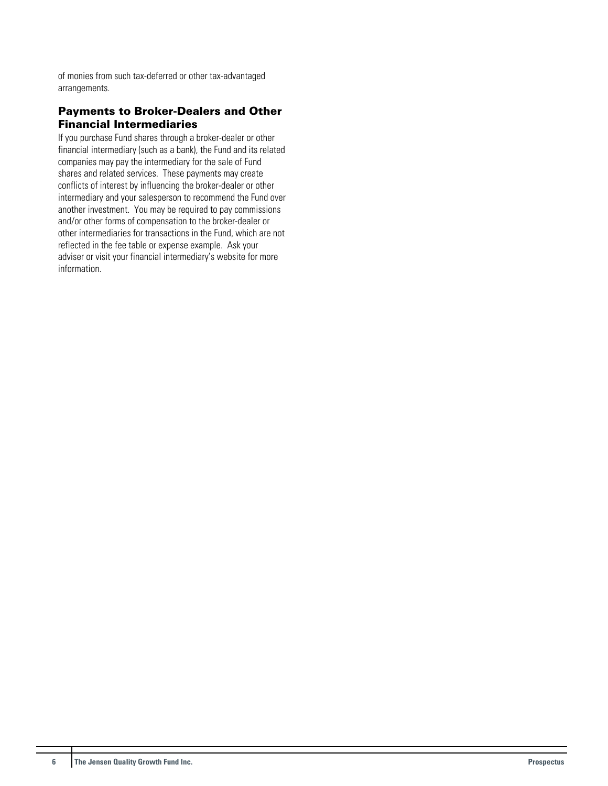of monies from such tax-deferred or other tax-advantaged arrangements.

## Payments to Broker-Dealers and Other Financial Intermediaries

If you purchase Fund shares through a broker-dealer or other financial intermediary (such as a bank), the Fund and its related companies may pay the intermediary for the sale of Fund shares and related services. These payments may create conflicts of interest by influencing the broker-dealer or other intermediary and your salesperson to recommend the Fund over another investment. You may be required to pay commissions and/or other forms of compensation to the broker-dealer or other intermediaries for transactions in the Fund, which are not reflected in the fee table or expense example. Ask your adviser or visit your financial intermediary's website for more information.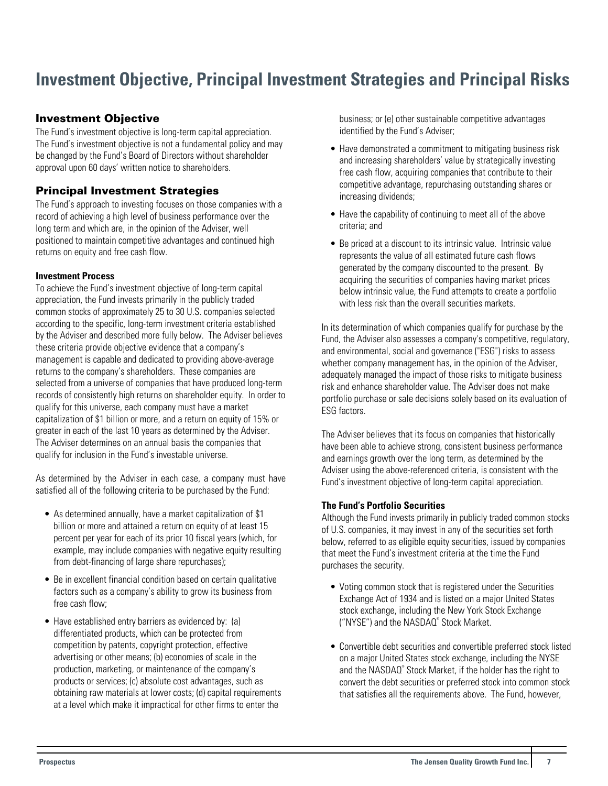## <span id="page-7-0"></span>**Investment Objective, Principal Investment Strategies and Principal Risks**

## Investment Objective

The Fund's investment objective is long-term capital appreciation. The Fund's investment objective is not a fundamental policy and may be changed by the Fund's Board of Directors without shareholder approval upon 60 days' written notice to shareholders.

## Principal Investment Strategies

The Fund's approach to investing focuses on those companies with a record of achieving a high level of business performance over the long term and which are, in the opinion of the Adviser, well positioned to maintain competitive advantages and continued high returns on equity and free cash flow.

#### **Investment Process**

To achieve the Fund's investment objective of long-term capital appreciation, the Fund invests primarily in the publicly traded common stocks of approximately 25 to 30 U.S. companies selected according to the specific, long-term investment criteria established by the Adviser and described more fully below. The Adviser believes these criteria provide objective evidence that a company's management is capable and dedicated to providing above-average returns to the company's shareholders. These companies are selected from a universe of companies that have produced long-term records of consistently high returns on shareholder equity. In order to qualify for this universe, each company must have a market capitalization of \$1 billion or more, and a return on equity of 15% or greater in each of the last 10 years as determined by the Adviser. The Adviser determines on an annual basis the companies that qualify for inclusion in the Fund's investable universe.

As determined by the Adviser in each case, a company must have satisfied all of the following criteria to be purchased by the Fund:

- As determined annually, have a market capitalization of \$1 billion or more and attained a return on equity of at least 15 percent per year for each of its prior 10 fiscal years (which, for example, may include companies with negative equity resulting from debt-financing of large share repurchases);
- Be in excellent financial condition based on certain qualitative factors such as a company's ability to grow its business from free cash flow;
- Have established entry barriers as evidenced by: (a) differentiated products, which can be protected from competition by patents, copyright protection, effective advertising or other means; (b) economies of scale in the production, marketing, or maintenance of the company's products or services; (c) absolute cost advantages, such as obtaining raw materials at lower costs; (d) capital requirements at a level which make it impractical for other firms to enter the

business; or (e) other sustainable competitive advantages identified by the Fund's Adviser;

- Have demonstrated a commitment to mitigating business risk and increasing shareholders' value by strategically investing free cash flow, acquiring companies that contribute to their competitive advantage, repurchasing outstanding shares or increasing dividends;
- Have the capability of continuing to meet all of the above criteria; and
- Be priced at a discount to its intrinsic value. Intrinsic value represents the value of all estimated future cash flows generated by the company discounted to the present. By acquiring the securities of companies having market prices below intrinsic value, the Fund attempts to create a portfolio with less risk than the overall securities markets.

In its determination of which companies qualify for purchase by the Fund, the Adviser also assesses a company's competitive, regulatory, and environmental, social and governance ("ESG") risks to assess whether company management has, in the opinion of the Adviser, adequately managed the impact of those risks to mitigate business risk and enhance shareholder value. The Adviser does not make portfolio purchase or sale decisions solely based on its evaluation of ESG factors.

The Adviser believes that its focus on companies that historically have been able to achieve strong, consistent business performance and earnings growth over the long term, as determined by the Adviser using the above-referenced criteria, is consistent with the Fund's investment objective of long-term capital appreciation.

## **The Fund's Portfolio Securities**

Although the Fund invests primarily in publicly traded common stocks of U.S. companies, it may invest in any of the securities set forth below, referred to as eligible equity securities, issued by companies that meet the Fund's investment criteria at the time the Fund purchases the security.

- Voting common stock that is registered under the Securities Exchange Act of 1934 and is listed on a major United States stock exchange, including the New York Stock Exchange ("NYSE") and the NASDAQ<sup>®</sup> Stock Market.
- Convertible debt securities and convertible preferred stock listed on a major United States stock exchange, including the NYSE and the NASDAQ<sup>®</sup> Stock Market, if the holder has the right to convert the debt securities or preferred stock into common stock that satisfies all the requirements above. The Fund, however,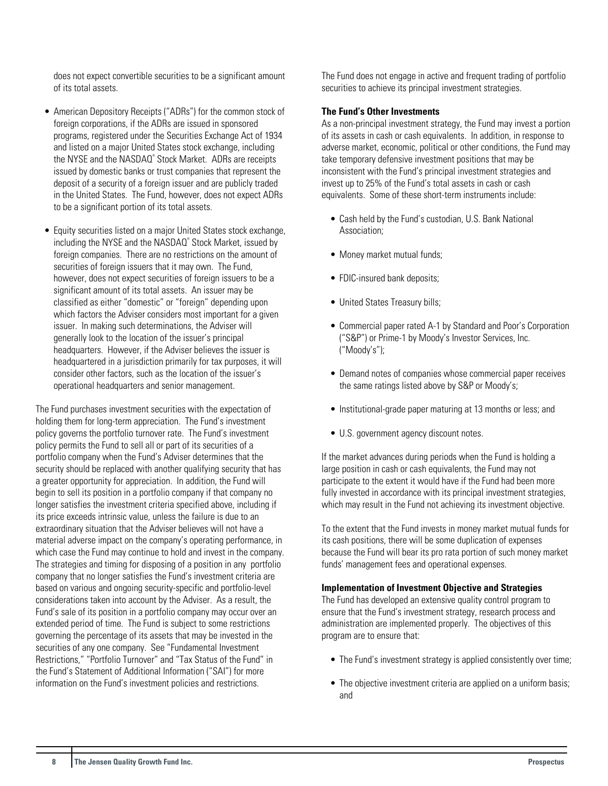does not expect convertible securities to be a significant amount of its total assets.

- American Depository Receipts ("ADRs") for the common stock of foreign corporations, if the ADRs are issued in sponsored programs, registered under the Securities Exchange Act of 1934 and listed on a major United States stock exchange, including the NYSE and the NASDAQ<sup>®</sup> Stock Market. ADRs are receipts issued by domestic banks or trust companies that represent the deposit of a security of a foreign issuer and are publicly traded in the United States. The Fund, however, does not expect ADRs to be a significant portion of its total assets.
- Equity securities listed on a major United States stock exchange, including the NYSE and the NASDAQ® Stock Market, issued by foreign companies. There are no restrictions on the amount of securities of foreign issuers that it may own. The Fund, however, does not expect securities of foreign issuers to be a significant amount of its total assets. An issuer may be classified as either "domestic" or "foreign" depending upon which factors the Adviser considers most important for a given issuer. In making such determinations, the Adviser will generally look to the location of the issuer's principal headquarters. However, if the Adviser believes the issuer is headquartered in a jurisdiction primarily for tax purposes, it will consider other factors, such as the location of the issuer's operational headquarters and senior management.

The Fund purchases investment securities with the expectation of holding them for long-term appreciation. The Fund's investment policy governs the portfolio turnover rate. The Fund's investment policy permits the Fund to sell all or part of its securities of a portfolio company when the Fund's Adviser determines that the security should be replaced with another qualifying security that has a greater opportunity for appreciation. In addition, the Fund will begin to sell its position in a portfolio company if that company no longer satisfies the investment criteria specified above, including if its price exceeds intrinsic value, unless the failure is due to an extraordinary situation that the Adviser believes will not have a material adverse impact on the company's operating performance, in which case the Fund may continue to hold and invest in the company. The strategies and timing for disposing of a position in any portfolio company that no longer satisfies the Fund's investment criteria are based on various and ongoing security-specific and portfolio-level considerations taken into account by the Adviser. As a result, the Fund's sale of its position in a portfolio company may occur over an extended period of time. The Fund is subject to some restrictions governing the percentage of its assets that may be invested in the securities of any one company. See "Fundamental Investment Restrictions," "Portfolio Turnover" and "Tax Status of the Fund" in the Fund's Statement of Additional Information ("SAI") for more information on the Fund's investment policies and restrictions.

The Fund does not engage in active and frequent trading of portfolio securities to achieve its principal investment strategies.

#### **The Fund's Other Investments**

As a non-principal investment strategy, the Fund may invest a portion of its assets in cash or cash equivalents. In addition, in response to adverse market, economic, political or other conditions, the Fund may take temporary defensive investment positions that may be inconsistent with the Fund's principal investment strategies and invest up to 25% of the Fund's total assets in cash or cash equivalents. Some of these short-term instruments include:

- Cash held by the Fund's custodian, U.S. Bank National Association;
- Money market mutual funds;
- FDIC-insured bank deposits;
- United States Treasury bills;
- Commercial paper rated A-1 by Standard and Poor's Corporation ("S&P") or Prime-1 by Moody's Investor Services, Inc. ("Moody's");
- Demand notes of companies whose commercial paper receives the same ratings listed above by S&P or Moody's;
- Institutional-grade paper maturing at 13 months or less; and
- U.S. government agency discount notes.

If the market advances during periods when the Fund is holding a large position in cash or cash equivalents, the Fund may not participate to the extent it would have if the Fund had been more fully invested in accordance with its principal investment strategies, which may result in the Fund not achieving its investment objective.

To the extent that the Fund invests in money market mutual funds for its cash positions, there will be some duplication of expenses because the Fund will bear its pro rata portion of such money market funds' management fees and operational expenses.

#### **Implementation of Investment Objective and Strategies**

The Fund has developed an extensive quality control program to ensure that the Fund's investment strategy, research process and administration are implemented properly. The objectives of this program are to ensure that:

- The Fund's investment strategy is applied consistently over time;
- The objective investment criteria are applied on a uniform basis; and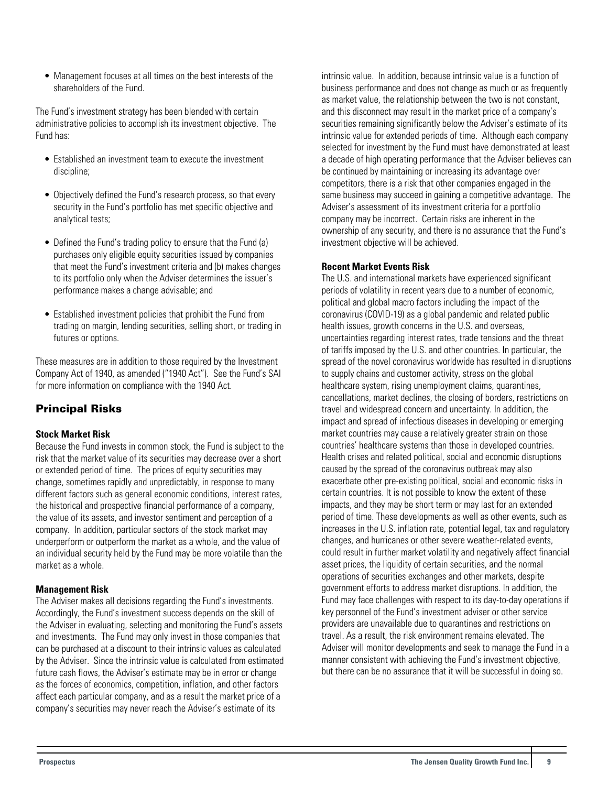<span id="page-9-0"></span>• Management focuses at all times on the best interests of the shareholders of the Fund.

The Fund's investment strategy has been blended with certain administrative policies to accomplish its investment objective. The Fund has:

- Established an investment team to execute the investment discipline;
- Objectively defined the Fund's research process, so that every security in the Fund's portfolio has met specific objective and analytical tests;
- Defined the Fund's trading policy to ensure that the Fund (a) purchases only eligible equity securities issued by companies that meet the Fund's investment criteria and (b) makes changes to its portfolio only when the Adviser determines the issuer's performance makes a change advisable; and
- Established investment policies that prohibit the Fund from trading on margin, lending securities, selling short, or trading in futures or options.

These measures are in addition to those required by the Investment Company Act of 1940, as amended ("1940 Act"). See the Fund's SAI for more information on compliance with the 1940 Act.

## Principal Risks

## **Stock Market Risk**

Because the Fund invests in common stock, the Fund is subject to the risk that the market value of its securities may decrease over a short or extended period of time. The prices of equity securities may change, sometimes rapidly and unpredictably, in response to many different factors such as general economic conditions, interest rates, the historical and prospective financial performance of a company, the value of its assets, and investor sentiment and perception of a company. In addition, particular sectors of the stock market may underperform or outperform the market as a whole, and the value of an individual security held by the Fund may be more volatile than the market as a whole.

## **Management Risk**

The Adviser makes all decisions regarding the Fund's investments. Accordingly, the Fund's investment success depends on the skill of the Adviser in evaluating, selecting and monitoring the Fund's assets and investments. The Fund may only invest in those companies that can be purchased at a discount to their intrinsic values as calculated by the Adviser. Since the intrinsic value is calculated from estimated future cash flows, the Adviser's estimate may be in error or change as the forces of economics, competition, inflation, and other factors affect each particular company, and as a result the market price of a company's securities may never reach the Adviser's estimate of its

intrinsic value. In addition, because intrinsic value is a function of business performance and does not change as much or as frequently as market value, the relationship between the two is not constant, and this disconnect may result in the market price of a company's securities remaining significantly below the Adviser's estimate of its intrinsic value for extended periods of time. Although each company selected for investment by the Fund must have demonstrated at least a decade of high operating performance that the Adviser believes can be continued by maintaining or increasing its advantage over competitors, there is a risk that other companies engaged in the same business may succeed in gaining a competitive advantage. The Adviser's assessment of its investment criteria for a portfolio company may be incorrect. Certain risks are inherent in the ownership of any security, and there is no assurance that the Fund's investment objective will be achieved.

## **Recent Market Events Risk**

The U.S. and international markets have experienced significant periods of volatility in recent years due to a number of economic, political and global macro factors including the impact of the coronavirus (COVID-19) as a global pandemic and related public health issues, growth concerns in the U.S. and overseas, uncertainties regarding interest rates, trade tensions and the threat of tariffs imposed by the U.S. and other countries. In particular, the spread of the novel coronavirus worldwide has resulted in disruptions to supply chains and customer activity, stress on the global healthcare system, rising unemployment claims, quarantines, cancellations, market declines, the closing of borders, restrictions on travel and widespread concern and uncertainty. In addition, the impact and spread of infectious diseases in developing or emerging market countries may cause a relatively greater strain on those countries' healthcare systems than those in developed countries. Health crises and related political, social and economic disruptions caused by the spread of the coronavirus outbreak may also exacerbate other pre-existing political, social and economic risks in certain countries. It is not possible to know the extent of these impacts, and they may be short term or may last for an extended period of time. These developments as well as other events, such as increases in the U.S. inflation rate, potential legal, tax and regulatory changes, and hurricanes or other severe weather-related events, could result in further market volatility and negatively affect financial asset prices, the liquidity of certain securities, and the normal operations of securities exchanges and other markets, despite government efforts to address market disruptions. In addition, the Fund may face challenges with respect to its day-to-day operations if key personnel of the Fund's investment adviser or other service providers are unavailable due to quarantines and restrictions on travel. As a result, the risk environment remains elevated. The Adviser will monitor developments and seek to manage the Fund in a manner consistent with achieving the Fund's investment objective, but there can be no assurance that it will be successful in doing so.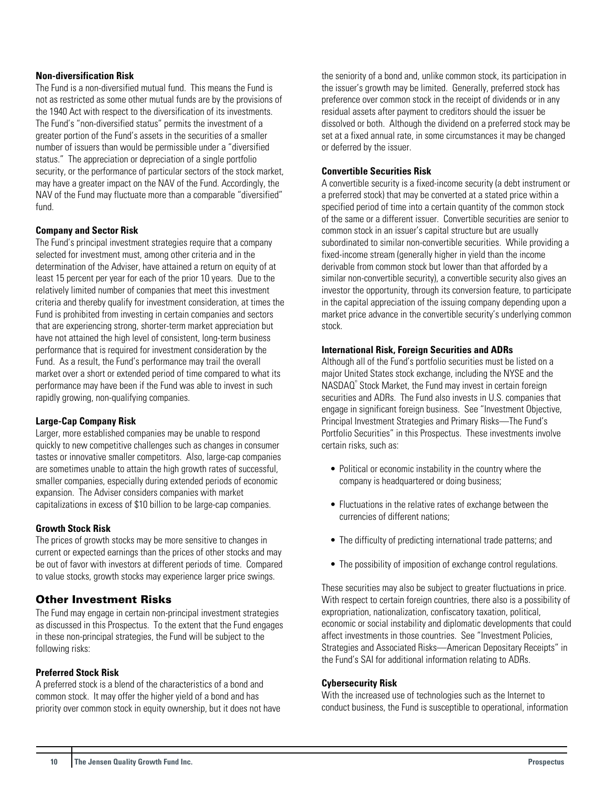#### <span id="page-10-0"></span>**Non-diversification Risk**

The Fund is a non-diversified mutual fund. This means the Fund is not as restricted as some other mutual funds are by the provisions of the 1940 Act with respect to the diversification of its investments. The Fund's "non-diversified status" permits the investment of a greater portion of the Fund's assets in the securities of a smaller number of issuers than would be permissible under a "diversified status." The appreciation or depreciation of a single portfolio security, or the performance of particular sectors of the stock market, may have a greater impact on the NAV of the Fund. Accordingly, the NAV of the Fund may fluctuate more than a comparable "diversified" fund.

#### **Company and Sector Risk**

The Fund's principal investment strategies require that a company selected for investment must, among other criteria and in the determination of the Adviser, have attained a return on equity of at least 15 percent per year for each of the prior 10 years. Due to the relatively limited number of companies that meet this investment criteria and thereby qualify for investment consideration, at times the Fund is prohibited from investing in certain companies and sectors that are experiencing strong, shorter-term market appreciation but have not attained the high level of consistent, long-term business performance that is required for investment consideration by the Fund. As a result, the Fund's performance may trail the overall market over a short or extended period of time compared to what its performance may have been if the Fund was able to invest in such rapidly growing, non-qualifying companies.

#### **Large-Cap Company Risk**

Larger, more established companies may be unable to respond quickly to new competitive challenges such as changes in consumer tastes or innovative smaller competitors. Also, large-cap companies are sometimes unable to attain the high growth rates of successful, smaller companies, especially during extended periods of economic expansion. The Adviser considers companies with market capitalizations in excess of \$10 billion to be large-cap companies.

#### **Growth Stock Risk**

The prices of growth stocks may be more sensitive to changes in current or expected earnings than the prices of other stocks and may be out of favor with investors at different periods of time. Compared to value stocks, growth stocks may experience larger price swings.

## Other Investment Risks

The Fund may engage in certain non-principal investment strategies as discussed in this Prospectus. To the extent that the Fund engages in these non-principal strategies, the Fund will be subject to the following risks:

#### **Preferred Stock Risk**

A preferred stock is a blend of the characteristics of a bond and common stock. It may offer the higher yield of a bond and has priority over common stock in equity ownership, but it does not have the seniority of a bond and, unlike common stock, its participation in the issuer's growth may be limited. Generally, preferred stock has preference over common stock in the receipt of dividends or in any residual assets after payment to creditors should the issuer be dissolved or both. Although the dividend on a preferred stock may be set at a fixed annual rate, in some circumstances it may be changed or deferred by the issuer.

#### **Convertible Securities Risk**

A convertible security is a fixed-income security (a debt instrument or a preferred stock) that may be converted at a stated price within a specified period of time into a certain quantity of the common stock of the same or a different issuer. Convertible securities are senior to common stock in an issuer's capital structure but are usually subordinated to similar non-convertible securities. While providing a fixed-income stream (generally higher in yield than the income derivable from common stock but lower than that afforded by a similar non-convertible security), a convertible security also gives an investor the opportunity, through its conversion feature, to participate in the capital appreciation of the issuing company depending upon a market price advance in the convertible security's underlying common stock.

#### **International Risk, Foreign Securities and ADRs**

Although all of the Fund's portfolio securities must be listed on a major United States stock exchange, including the NYSE and the NASDAQ® Stock Market, the Fund may invest in certain foreign securities and ADRs. The Fund also invests in U.S. companies that engage in significant foreign business. See "Investment Objective, Principal Investment Strategies and Primary Risks—The Fund's Portfolio Securities" in this Prospectus. These investments involve certain risks, such as:

- Political or economic instability in the country where the company is headquartered or doing business;
- Fluctuations in the relative rates of exchange between the currencies of different nations;
- The difficulty of predicting international trade patterns; and
- The possibility of imposition of exchange control regulations.

These securities may also be subject to greater fluctuations in price. With respect to certain foreign countries, there also is a possibility of expropriation, nationalization, confiscatory taxation, political, economic or social instability and diplomatic developments that could affect investments in those countries. See "Investment Policies, Strategies and Associated Risks—American Depositary Receipts" in the Fund's SAI for additional information relating to ADRs.

#### **Cybersecurity Risk**

With the increased use of technologies such as the Internet to conduct business, the Fund is susceptible to operational, information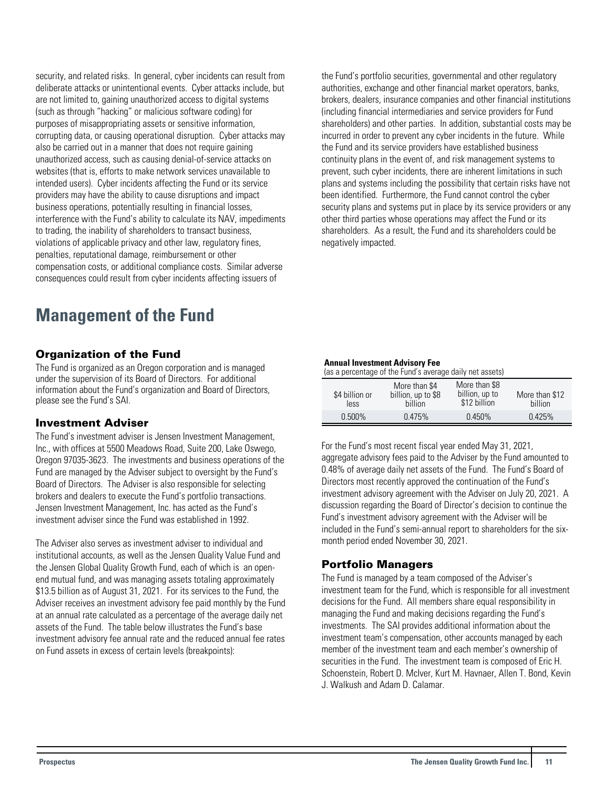<span id="page-11-0"></span>security, and related risks. In general, cyber incidents can result from deliberate attacks or unintentional events. Cyber attacks include, but are not limited to, gaining unauthorized access to digital systems (such as through "hacking" or malicious software coding) for purposes of misappropriating assets or sensitive information, corrupting data, or causing operational disruption. Cyber attacks may also be carried out in a manner that does not require gaining unauthorized access, such as causing denial-of-service attacks on websites (that is, efforts to make network services unavailable to intended users). Cyber incidents affecting the Fund or its service providers may have the ability to cause disruptions and impact business operations, potentially resulting in financial losses, interference with the Fund's ability to calculate its NAV, impediments to trading, the inability of shareholders to transact business, violations of applicable privacy and other law, regulatory fines, penalties, reputational damage, reimbursement or other compensation costs, or additional compliance costs. Similar adverse consequences could result from cyber incidents affecting issuers of

**Management of the Fund**

## Organization of the Fund

The Fund is organized as an Oregon corporation and is managed under the supervision of its Board of Directors. For additional information about the Fund's organization and Board of Directors, please see the Fund's SAI.

## Investment Adviser

The Fund's investment adviser is Jensen Investment Management, Inc., with offices at 5500 Meadows Road, Suite 200, Lake Oswego, Oregon 97035-3623. The investments and business operations of the Fund are managed by the Adviser subject to oversight by the Fund's Board of Directors. The Adviser is also responsible for selecting brokers and dealers to execute the Fund's portfolio transactions. Jensen Investment Management, Inc. has acted as the Fund's investment adviser since the Fund was established in 1992.

The Adviser also serves as investment adviser to individual and institutional accounts, as well as the Jensen Quality Value Fund and the Jensen Global Quality Growth Fund, each of which is an openend mutual fund, and was managing assets totaling approximately \$13.5 billion as of August 31, 2021. For its services to the Fund, the Adviser receives an investment advisory fee paid monthly by the Fund at an annual rate calculated as a percentage of the average daily net assets of the Fund. The table below illustrates the Fund's base investment advisory fee annual rate and the reduced annual fee rates on Fund assets in excess of certain levels (breakpoints):

the Fund's portfolio securities, governmental and other regulatory authorities, exchange and other financial market operators, banks, brokers, dealers, insurance companies and other financial institutions (including financial intermediaries and service providers for Fund shareholders) and other parties. In addition, substantial costs may be incurred in order to prevent any cyber incidents in the future. While the Fund and its service providers have established business continuity plans in the event of, and risk management systems to prevent, such cyber incidents, there are inherent limitations in such plans and systems including the possibility that certain risks have not been identified. Furthermore, the Fund cannot control the cyber security plans and systems put in place by its service providers or any other third parties whose operations may affect the Fund or its shareholders. As a result, the Fund and its shareholders could be negatively impacted.

#### **Annual Investment Advisory Fee**

(as a percentage of the Fund's average daily net assets)

| \$4 billion or<br>less | More than \$4<br>billion, up to \$8<br><b>billion</b> | More than \$8<br>billion, up to<br>\$12 billion | More than \$12<br>billion |
|------------------------|-------------------------------------------------------|-------------------------------------------------|---------------------------|
| 0.500%                 | 0.475%                                                | $0.450\%$                                       | 0.425%                    |

For the Fund's most recent fiscal year ended May 31, 2021, aggregate advisory fees paid to the Adviser by the Fund amounted to 0.48% of average daily net assets of the Fund. The Fund's Board of Directors most recently approved the continuation of the Fund's investment advisory agreement with the Adviser on July 20, 2021. A discussion regarding the Board of Director's decision to continue the Fund's investment advisory agreement with the Adviser will be included in the Fund's semi-annual report to shareholders for the sixmonth period ended November 30, 2021.

## Portfolio Managers

The Fund is managed by a team composed of the Adviser's investment team for the Fund, which is responsible for all investment decisions for the Fund. All members share equal responsibility in managing the Fund and making decisions regarding the Fund's investments. The SAI provides additional information about the investment team's compensation, other accounts managed by each member of the investment team and each member's ownership of securities in the Fund. The investment team is composed of Eric H. Schoenstein, Robert D. McIver, Kurt M. Havnaer, Allen T. Bond, Kevin J. Walkush and Adam D. Calamar.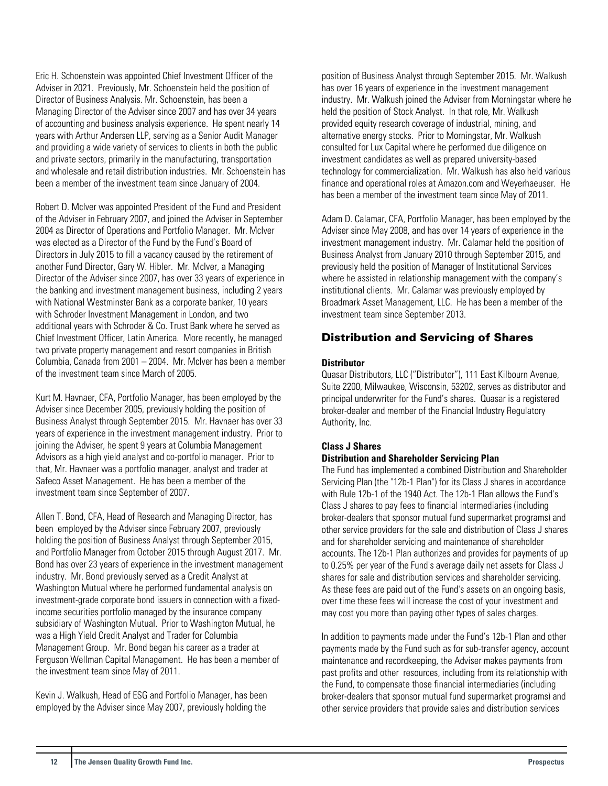<span id="page-12-0"></span>Eric H. Schoenstein was appointed Chief Investment Officer of the Adviser in 2021. Previously, Mr. Schoenstein held the position of Director of Business Analysis. Mr. Schoenstein, has been a Managing Director of the Adviser since 2007 and has over 34 years of accounting and business analysis experience. He spent nearly 14 years with Arthur Andersen LLP, serving as a Senior Audit Manager and providing a wide variety of services to clients in both the public and private sectors, primarily in the manufacturing, transportation and wholesale and retail distribution industries. Mr. Schoenstein has been a member of the investment team since January of 2004.

Robert D. McIver was appointed President of the Fund and President of the Adviser in February 2007, and joined the Adviser in September 2004 as Director of Operations and Portfolio Manager. Mr. McIver was elected as a Director of the Fund by the Fund's Board of Directors in July 2015 to fill a vacancy caused by the retirement of another Fund Director, Gary W. Hibler. Mr. McIver, a Managing Director of the Adviser since 2007, has over 33 years of experience in the banking and investment management business, including 2 years with National Westminster Bank as a corporate banker, 10 years with Schroder Investment Management in London, and two additional years with Schroder & Co. Trust Bank where he served as Chief Investment Officer, Latin America. More recently, he managed two private property management and resort companies in British Columbia, Canada from 2001 – 2004. Mr. McIver has been a member of the investment team since March of 2005.

Kurt M. Havnaer, CFA, Portfolio Manager, has been employed by the Adviser since December 2005, previously holding the position of Business Analyst through September 2015. Mr. Havnaer has over 33 years of experience in the investment management industry. Prior to joining the Adviser, he spent 9 years at Columbia Management Advisors as a high yield analyst and co-portfolio manager. Prior to that, Mr. Havnaer was a portfolio manager, analyst and trader at Safeco Asset Management. He has been a member of the investment team since September of 2007.

Allen T. Bond, CFA, Head of Research and Managing Director, has been employed by the Adviser since February 2007, previously holding the position of Business Analyst through September 2015, and Portfolio Manager from October 2015 through August 2017. Mr. Bond has over 23 years of experience in the investment management industry. Mr. Bond previously served as a Credit Analyst at Washington Mutual where he performed fundamental analysis on investment-grade corporate bond issuers in connection with a fixedincome securities portfolio managed by the insurance company subsidiary of Washington Mutual. Prior to Washington Mutual, he was a High Yield Credit Analyst and Trader for Columbia Management Group. Mr. Bond began his career as a trader at Ferguson Wellman Capital Management. He has been a member of the investment team since May of 2011.

Kevin J. Walkush, Head of ESG and Portfolio Manager, has been employed by the Adviser since May 2007, previously holding the

position of Business Analyst through September 2015. Mr. Walkush has over 16 years of experience in the investment management industry. Mr. Walkush joined the Adviser from Morningstar where he held the position of Stock Analyst. In that role, Mr. Walkush provided equity research coverage of industrial, mining, and alternative energy stocks. Prior to Morningstar, Mr. Walkush consulted for Lux Capital where he performed due diligence on investment candidates as well as prepared university-based technology for commercialization. Mr. Walkush has also held various finance and operational roles at Amazon.com and Weyerhaeuser. He has been a member of the investment team since May of 2011.

Adam D. Calamar, CFA, Portfolio Manager, has been employed by the Adviser since May 2008, and has over 14 years of experience in the investment management industry. Mr. Calamar held the position of Business Analyst from January 2010 through September 2015, and previously held the position of Manager of Institutional Services where he assisted in relationship management with the company's institutional clients. Mr. Calamar was previously employed by Broadmark Asset Management, LLC. He has been a member of the investment team since September 2013.

## Distribution and Servicing of Shares

#### **Distributor**

Quasar Distributors, LLC ("Distributor"), 111 East Kilbourn Avenue, Suite 2200, Milwaukee, Wisconsin, 53202, serves as distributor and principal underwriter for the Fund's shares. Quasar is a registered broker-dealer and member of the Financial Industry Regulatory Authority, Inc.

## **Class J Shares**

## **Distribution and Shareholder Servicing Plan**

The Fund has implemented a combined Distribution and Shareholder Servicing Plan (the "12b-1 Plan") for its Class J shares in accordance with Rule 12b-1 of the 1940 Act. The 12b-1 Plan allows the Fund's Class J shares to pay fees to financial intermediaries (including broker-dealers that sponsor mutual fund supermarket programs) and other service providers for the sale and distribution of Class J shares and for shareholder servicing and maintenance of shareholder accounts. The 12b-1 Plan authorizes and provides for payments of up to 0.25% per year of the Fund's average daily net assets for Class J shares for sale and distribution services and shareholder servicing. As these fees are paid out of the Fund's assets on an ongoing basis, over time these fees will increase the cost of your investment and may cost you more than paying other types of sales charges.

In addition to payments made under the Fund's 12b-1 Plan and other payments made by the Fund such as for sub-transfer agency, account maintenance and recordkeeping, the Adviser makes payments from past profits and other resources, including from its relationship with the Fund, to compensate those financial intermediaries (including broker-dealers that sponsor mutual fund supermarket programs) and other service providers that provide sales and distribution services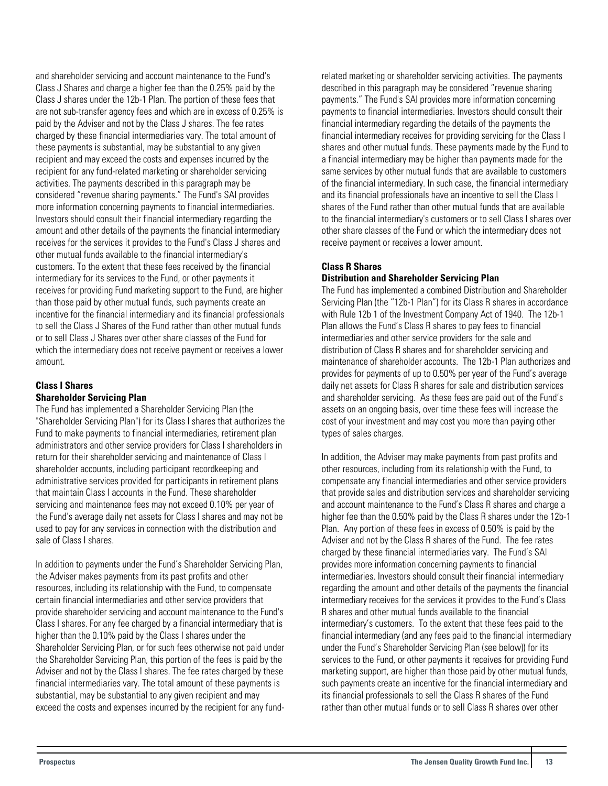and shareholder servicing and account maintenance to the Fund's Class J Shares and charge a higher fee than the 0.25% paid by the Class J shares under the 12b-1 Plan. The portion of these fees that are not sub-transfer agency fees and which are in excess of 0.25% is paid by the Adviser and not by the Class J shares. The fee rates charged by these financial intermediaries vary. The total amount of these payments is substantial, may be substantial to any given recipient and may exceed the costs and expenses incurred by the recipient for any fund-related marketing or shareholder servicing activities. The payments described in this paragraph may be considered "revenue sharing payments." The Fund's SAI provides more information concerning payments to financial intermediaries. Investors should consult their financial intermediary regarding the amount and other details of the payments the financial intermediary receives for the services it provides to the Fund's Class J shares and other mutual funds available to the financial intermediary's customers. To the extent that these fees received by the financial intermediary for its services to the Fund, or other payments it receives for providing Fund marketing support to the Fund, are higher than those paid by other mutual funds, such payments create an incentive for the financial intermediary and its financial professionals to sell the Class J Shares of the Fund rather than other mutual funds or to sell Class J Shares over other share classes of the Fund for which the intermediary does not receive payment or receives a lower amount.

## **Class I Shares**

## **Shareholder Servicing Plan**

The Fund has implemented a Shareholder Servicing Plan (the "Shareholder Servicing Plan") for its Class I shares that authorizes the Fund to make payments to financial intermediaries, retirement plan administrators and other service providers for Class I shareholders in return for their shareholder servicing and maintenance of Class I shareholder accounts, including participant recordkeeping and administrative services provided for participants in retirement plans that maintain Class I accounts in the Fund. These shareholder servicing and maintenance fees may not exceed 0.10% per year of the Fund's average daily net assets for Class I shares and may not be used to pay for any services in connection with the distribution and sale of Class I shares.

In addition to payments under the Fund's Shareholder Servicing Plan, the Adviser makes payments from its past profits and other resources, including its relationship with the Fund, to compensate certain financial intermediaries and other service providers that provide shareholder servicing and account maintenance to the Fund's Class I shares. For any fee charged by a financial intermediary that is higher than the 0.10% paid by the Class I shares under the Shareholder Servicing Plan, or for such fees otherwise not paid under the Shareholder Servicing Plan, this portion of the fees is paid by the Adviser and not by the Class I shares. The fee rates charged by these financial intermediaries vary. The total amount of these payments is substantial, may be substantial to any given recipient and may exceed the costs and expenses incurred by the recipient for any fund-

related marketing or shareholder servicing activities. The payments described in this paragraph may be considered "revenue sharing payments." The Fund's SAI provides more information concerning payments to financial intermediaries. Investors should consult their financial intermediary regarding the details of the payments the financial intermediary receives for providing servicing for the Class I shares and other mutual funds. These payments made by the Fund to a financial intermediary may be higher than payments made for the same services by other mutual funds that are available to customers of the financial intermediary. In such case, the financial intermediary and its financial professionals have an incentive to sell the Class I shares of the Fund rather than other mutual funds that are available to the financial intermediary's customers or to sell Class I shares over other share classes of the Fund or which the intermediary does not receive payment or receives a lower amount.

## **Class R Shares**

#### **Distribution and Shareholder Servicing Plan**

The Fund has implemented a combined Distribution and Shareholder Servicing Plan (the "12b-1 Plan") for its Class R shares in accordance with Rule 12b 1 of the Investment Company Act of 1940. The 12b-1 Plan allows the Fund's Class R shares to pay fees to financial intermediaries and other service providers for the sale and distribution of Class R shares and for shareholder servicing and maintenance of shareholder accounts. The 12b-1 Plan authorizes and provides for payments of up to 0.50% per year of the Fund's average daily net assets for Class R shares for sale and distribution services and shareholder servicing. As these fees are paid out of the Fund's assets on an ongoing basis, over time these fees will increase the cost of your investment and may cost you more than paying other types of sales charges.

In addition, the Adviser may make payments from past profits and other resources, including from its relationship with the Fund, to compensate any financial intermediaries and other service providers that provide sales and distribution services and shareholder servicing and account maintenance to the Fund's Class R shares and charge a higher fee than the 0.50% paid by the Class R shares under the 12b-1 Plan. Any portion of these fees in excess of 0.50% is paid by the Adviser and not by the Class R shares of the Fund. The fee rates charged by these financial intermediaries vary. The Fund's SAI provides more information concerning payments to financial intermediaries. Investors should consult their financial intermediary regarding the amount and other details of the payments the financial intermediary receives for the services it provides to the Fund's Class R shares and other mutual funds available to the financial intermediary's customers. To the extent that these fees paid to the financial intermediary (and any fees paid to the financial intermediary under the Fund's Shareholder Servicing Plan (see below)) for its services to the Fund, or other payments it receives for providing Fund marketing support, are higher than those paid by other mutual funds, such payments create an incentive for the financial intermediary and its financial professionals to sell the Class R shares of the Fund rather than other mutual funds or to sell Class R shares over other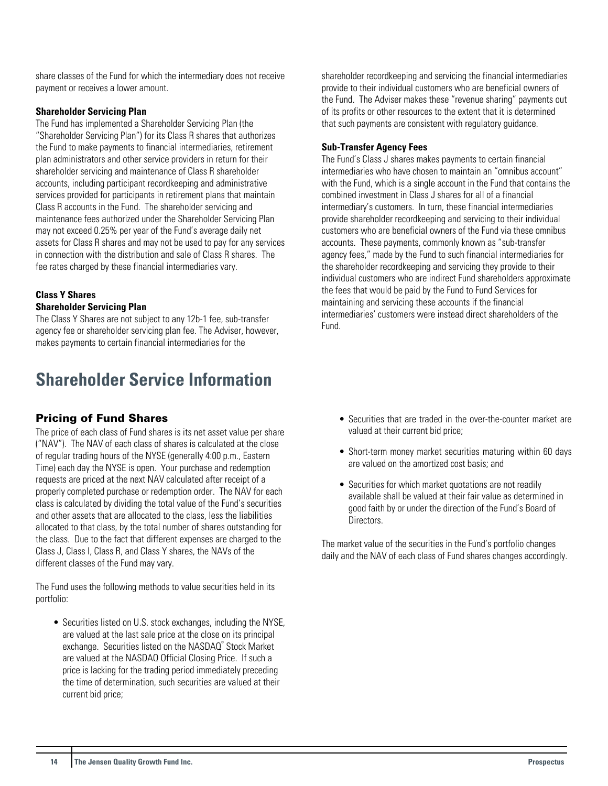<span id="page-14-0"></span>share classes of the Fund for which the intermediary does not receive payment or receives a lower amount.

### **Shareholder Servicing Plan**

The Fund has implemented a Shareholder Servicing Plan (the "Shareholder Servicing Plan") for its Class R shares that authorizes the Fund to make payments to financial intermediaries, retirement plan administrators and other service providers in return for their shareholder servicing and maintenance of Class R shareholder accounts, including participant recordkeeping and administrative services provided for participants in retirement plans that maintain Class R accounts in the Fund. The shareholder servicing and maintenance fees authorized under the Shareholder Servicing Plan may not exceed 0.25% per year of the Fund's average daily net assets for Class R shares and may not be used to pay for any services in connection with the distribution and sale of Class R shares. The fee rates charged by these financial intermediaries vary.

## **Class Y Shares**

## **Shareholder Servicing Plan**

The Class Y Shares are not subject to any 12b-1 fee, sub-transfer agency fee or shareholder servicing plan fee. The Adviser, however, makes payments to certain financial intermediaries for the

## **Shareholder Service Information**

## Pricing of Fund Shares

The price of each class of Fund shares is its net asset value per share ("NAV"). The NAV of each class of shares is calculated at the close of regular trading hours of the NYSE (generally 4:00 p.m., Eastern Time) each day the NYSE is open. Your purchase and redemption requests are priced at the next NAV calculated after receipt of a properly completed purchase or redemption order. The NAV for each class is calculated by dividing the total value of the Fund's securities and other assets that are allocated to the class, less the liabilities allocated to that class, by the total number of shares outstanding for the class. Due to the fact that different expenses are charged to the Class J, Class I, Class R, and Class Y shares, the NAVs of the different classes of the Fund may vary.

The Fund uses the following methods to value securities held in its portfolio:

• Securities listed on U.S. stock exchanges, including the NYSE, are valued at the last sale price at the close on its principal exchange. Securities listed on the NASDAQ® Stock Market are valued at the NASDAQ Official Closing Price. If such a price is lacking for the trading period immediately preceding the time of determination, such securities are valued at their current bid price;

shareholder recordkeeping and servicing the financial intermediaries provide to their individual customers who are beneficial owners of the Fund. The Adviser makes these "revenue sharing" payments out of its profits or other resources to the extent that it is determined that such payments are consistent with regulatory guidance.

#### **Sub-Transfer Agency Fees**

The Fund's Class J shares makes payments to certain financial intermediaries who have chosen to maintain an "omnibus account" with the Fund, which is a single account in the Fund that contains the combined investment in Class J shares for all of a financial intermediary's customers. In turn, these financial intermediaries provide shareholder recordkeeping and servicing to their individual customers who are beneficial owners of the Fund via these omnibus accounts. These payments, commonly known as "sub-transfer agency fees," made by the Fund to such financial intermediaries for the shareholder recordkeeping and servicing they provide to their individual customers who are indirect Fund shareholders approximate the fees that would be paid by the Fund to Fund Services for maintaining and servicing these accounts if the financial intermediaries' customers were instead direct shareholders of the Fund.

- Securities that are traded in the over-the-counter market are valued at their current bid price;
- Short-term money market securities maturing within 60 days are valued on the amortized cost basis; and
- Securities for which market quotations are not readily available shall be valued at their fair value as determined in good faith by or under the direction of the Fund's Board of **Directors**

The market value of the securities in the Fund's portfolio changes daily and the NAV of each class of Fund shares changes accordingly.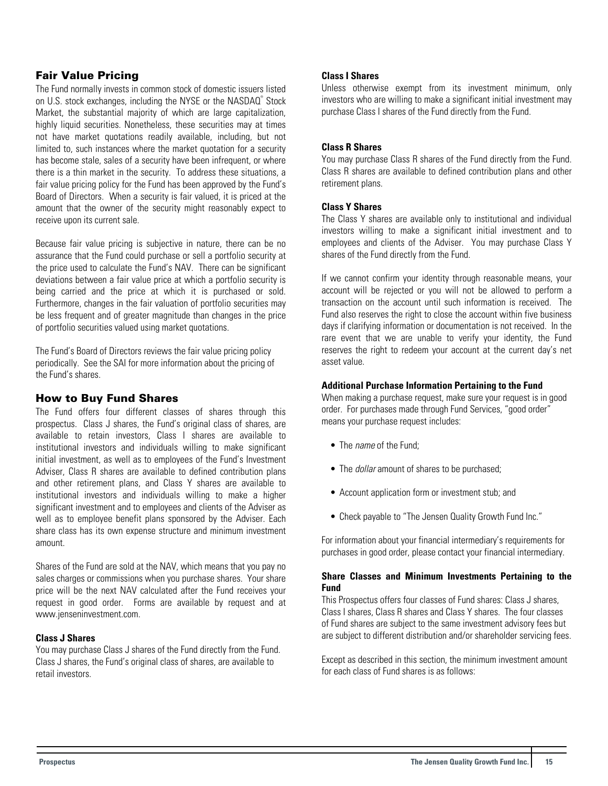## <span id="page-15-0"></span>Fair Value Pricing

The Fund normally invests in common stock of domestic issuers listed on U.S. stock exchanges, including the NYSE or the NASDAQ® Stock Market, the substantial majority of which are large capitalization, highly liquid securities. Nonetheless, these securities may at times not have market quotations readily available, including, but not limited to, such instances where the market quotation for a security has become stale, sales of a security have been infrequent, or where there is a thin market in the security. To address these situations, a fair value pricing policy for the Fund has been approved by the Fund's Board of Directors. When a security is fair valued, it is priced at the amount that the owner of the security might reasonably expect to receive upon its current sale.

Because fair value pricing is subjective in nature, there can be no assurance that the Fund could purchase or sell a portfolio security at the price used to calculate the Fund's NAV. There can be significant deviations between a fair value price at which a portfolio security is being carried and the price at which it is purchased or sold. Furthermore, changes in the fair valuation of portfolio securities may be less frequent and of greater magnitude than changes in the price of portfolio securities valued using market quotations.

The Fund's Board of Directors reviews the fair value pricing policy periodically. See the SAI for more information about the pricing of the Fund's shares.

## How to Buy Fund Shares

The Fund offers four different classes of shares through this prospectus. Class J shares, the Fund's original class of shares, are available to retain investors, Class I shares are available to institutional investors and individuals willing to make significant initial investment, as well as to employees of the Fund's Investment Adviser, Class R shares are available to defined contribution plans and other retirement plans, and Class Y shares are available to institutional investors and individuals willing to make a higher significant investment and to employees and clients of the Adviser as well as to employee benefit plans sponsored by the Adviser. Each share class has its own expense structure and minimum investment amount.

Shares of the Fund are sold at the NAV, which means that you pay no sales charges or commissions when you purchase shares. Your share price will be the next NAV calculated after the Fund receives your request in good order. Forms are available by request and at www.jenseninvestment.com.

## **Class J Shares**

You may purchase Class J shares of the Fund directly from the Fund. Class J shares, the Fund's original class of shares, are available to retail investors.

#### **Class I Shares**

Unless otherwise exempt from its investment minimum, only investors who are willing to make a significant initial investment may purchase Class I shares of the Fund directly from the Fund.

#### **Class R Shares**

You may purchase Class R shares of the Fund directly from the Fund. Class R shares are available to defined contribution plans and other retirement plans.

#### **Class Y Shares**

The Class Y shares are available only to institutional and individual investors willing to make a significant initial investment and to employees and clients of the Adviser. You may purchase Class Y shares of the Fund directly from the Fund.

If we cannot confirm your identity through reasonable means, your account will be rejected or you will not be allowed to perform a transaction on the account until such information is received. The Fund also reserves the right to close the account within five business days if clarifying information or documentation is not received. In the rare event that we are unable to verify your identity, the Fund reserves the right to redeem your account at the current day's net asset value.

#### **Additional Purchase Information Pertaining to the Fund**

When making a purchase request, make sure your request is in good order. For purchases made through Fund Services, "good order" means your purchase request includes:

- The *name* of the Fund;
- The *dollar* amount of shares to be purchased;
- Account application form or investment stub; and
- Check payable to "The Jensen Quality Growth Fund Inc."

For information about your financial intermediary's requirements for purchases in good order, please contact your financial intermediary.

#### **Share Classes and Minimum Investments Pertaining to the Fund**

This Prospectus offers four classes of Fund shares: Class J shares, Class I shares, Class R shares and Class Y shares. The four classes of Fund shares are subject to the same investment advisory fees but are subject to different distribution and/or shareholder servicing fees.

Except as described in this section, the minimum investment amount for each class of Fund shares is as follows: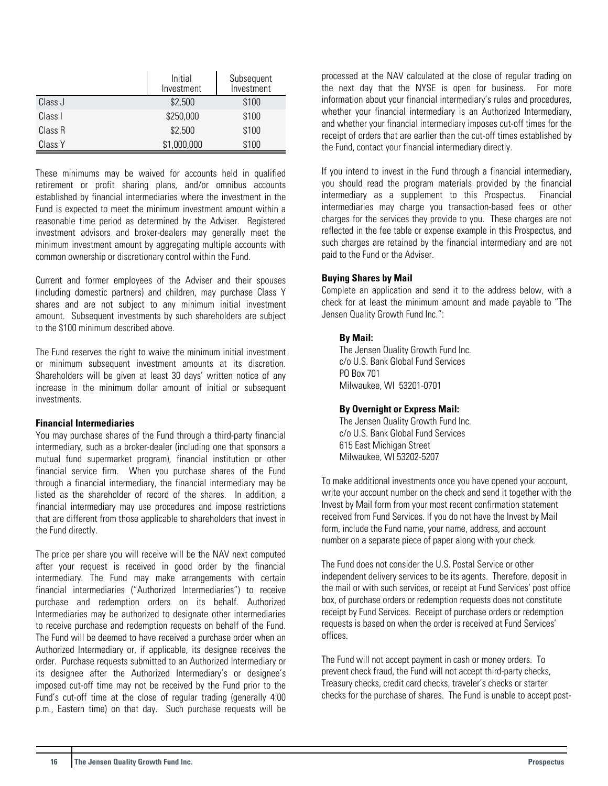|         | Initial<br>Investment | Subsequent<br>Investment |
|---------|-----------------------|--------------------------|
| Class J | \$2,500               | \$100                    |
| Class I | \$250,000             | \$100                    |
| Class R | \$2,500               | \$100                    |
| Class Y | \$1,000,000           | \$100                    |

These minimums may be waived for accounts held in qualified retirement or profit sharing plans, and/or omnibus accounts established by financial intermediaries where the investment in the Fund is expected to meet the minimum investment amount within a reasonable time period as determined by the Adviser. Registered investment advisors and broker-dealers may generally meet the minimum investment amount by aggregating multiple accounts with common ownership or discretionary control within the Fund.

Current and former employees of the Adviser and their spouses (including domestic partners) and children, may purchase Class Y shares and are not subject to any minimum initial investment amount. Subsequent investments by such shareholders are subject to the \$100 minimum described above.

The Fund reserves the right to waive the minimum initial investment or minimum subsequent investment amounts at its discretion. Shareholders will be given at least 30 days' written notice of any increase in the minimum dollar amount of initial or subsequent investments.

#### **Financial Intermediaries**

You may purchase shares of the Fund through a third-party financial intermediary, such as a broker-dealer (including one that sponsors a mutual fund supermarket program), financial institution or other financial service firm. When you purchase shares of the Fund through a financial intermediary, the financial intermediary may be listed as the shareholder of record of the shares. In addition, a financial intermediary may use procedures and impose restrictions that are different from those applicable to shareholders that invest in the Fund directly.

The price per share you will receive will be the NAV next computed after your request is received in good order by the financial intermediary. The Fund may make arrangements with certain financial intermediaries ("Authorized Intermediaries") to receive purchase and redemption orders on its behalf. Authorized Intermediaries may be authorized to designate other intermediaries to receive purchase and redemption requests on behalf of the Fund. The Fund will be deemed to have received a purchase order when an Authorized Intermediary or, if applicable, its designee receives the order. Purchase requests submitted to an Authorized Intermediary or its designee after the Authorized Intermediary's or designee's imposed cut-off time may not be received by the Fund prior to the Fund's cut-off time at the close of regular trading (generally 4:00 p.m., Eastern time) on that day. Such purchase requests will be

processed at the NAV calculated at the close of regular trading on the next day that the NYSE is open for business. For more information about your financial intermediary's rules and procedures, whether your financial intermediary is an Authorized Intermediary, and whether your financial intermediary imposes cut-off times for the receipt of orders that are earlier than the cut-off times established by the Fund, contact your financial intermediary directly.

If you intend to invest in the Fund through a financial intermediary, you should read the program materials provided by the financial intermediary as a supplement to this Prospectus. Financial intermediaries may charge you transaction-based fees or other charges for the services they provide to you. These charges are not reflected in the fee table or expense example in this Prospectus, and such charges are retained by the financial intermediary and are not paid to the Fund or the Adviser.

#### **Buying Shares by Mail**

Complete an application and send it to the address below, with a check for at least the minimum amount and made payable to "The Jensen Quality Growth Fund Inc.":

#### **By Mail:**

The Jensen Quality Growth Fund Inc. c/o U.S. Bank Global Fund Services PO Box 701 Milwaukee, WI 53201-0701

#### **By Overnight or Express Mail:**

The Jensen Quality Growth Fund Inc. c/o U.S. Bank Global Fund Services 615 East Michigan Street Milwaukee, WI 53202-5207

To make additional investments once you have opened your account, write your account number on the check and send it together with the Invest by Mail form from your most recent confirmation statement received from Fund Services. If you do not have the Invest by Mail form, include the Fund name, your name, address, and account number on a separate piece of paper along with your check.

The Fund does not consider the U.S. Postal Service or other independent delivery services to be its agents. Therefore, deposit in the mail or with such services, or receipt at Fund Services' post office box, of purchase orders or redemption requests does not constitute receipt by Fund Services. Receipt of purchase orders or redemption requests is based on when the order is received at Fund Services' offices.

The Fund will not accept payment in cash or money orders. To prevent check fraud, the Fund will not accept third-party checks, Treasury checks, credit card checks, traveler's checks or starter checks for the purchase of shares. The Fund is unable to accept post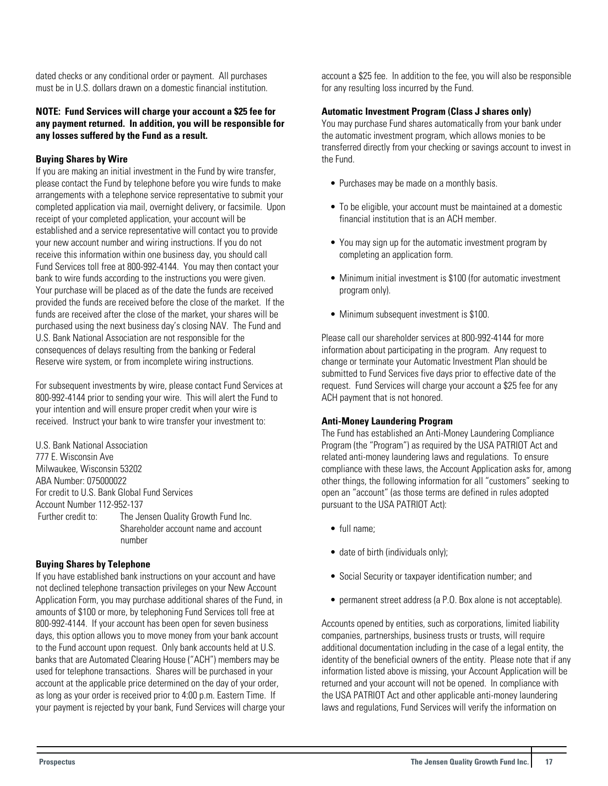dated checks or any conditional order or payment. All purchases must be in U.S. dollars drawn on a domestic financial institution.

#### **NOTE: Fund Services will charge your account a \$25 fee for any payment returned. In addition, you will be responsible for any losses suffered by the Fund as a result.**

## **Buying Shares by Wire**

If you are making an initial investment in the Fund by wire transfer, please contact the Fund by telephone before you wire funds to make arrangements with a telephone service representative to submit your completed application via mail, overnight delivery, or facsimile. Upon receipt of your completed application, your account will be established and a service representative will contact you to provide your new account number and wiring instructions. If you do not receive this information within one business day, you should call Fund Services toll free at 800-992-4144. You may then contact your bank to wire funds according to the instructions you were given. Your purchase will be placed as of the date the funds are received provided the funds are received before the close of the market. If the funds are received after the close of the market, your shares will be purchased using the next business day's closing NAV. The Fund and U.S. Bank National Association are not responsible for the consequences of delays resulting from the banking or Federal Reserve wire system, or from incomplete wiring instructions.

For subsequent investments by wire, please contact Fund Services at 800-992-4144 prior to sending your wire. This will alert the Fund to your intention and will ensure proper credit when your wire is received. Instruct your bank to wire transfer your investment to:

U.S. Bank National Association 777 E. Wisconsin Ave Milwaukee, Wisconsin 53202 ABA Number: 075000022 For credit to U.S. Bank Global Fund Services Account Number 112-952-137 Further credit to: The Jensen Quality Growth Fund Inc. Shareholder account name and account number

## **Buying Shares by Telephone**

If you have established bank instructions on your account and have not declined telephone transaction privileges on your New Account Application Form, you may purchase additional shares of the Fund, in amounts of \$100 or more, by telephoning Fund Services toll free at 800-992-4144. If your account has been open for seven business days, this option allows you to move money from your bank account to the Fund account upon request. Only bank accounts held at U.S. banks that are Automated Clearing House ("ACH") members may be used for telephone transactions. Shares will be purchased in your account at the applicable price determined on the day of your order, as long as your order is received prior to 4:00 p.m. Eastern Time. If your payment is rejected by your bank, Fund Services will charge your account a \$25 fee. In addition to the fee, you will also be responsible for any resulting loss incurred by the Fund.

## **Automatic Investment Program (Class J shares only)**

You may purchase Fund shares automatically from your bank under the automatic investment program, which allows monies to be transferred directly from your checking or savings account to invest in the Fund.

- Purchases may be made on a monthly basis.
- To be eligible, your account must be maintained at a domestic financial institution that is an ACH member.
- You may sign up for the automatic investment program by completing an application form.
- Minimum initial investment is \$100 (for automatic investment program only).
- Minimum subsequent investment is \$100.

Please call our shareholder services at 800-992-4144 for more information about participating in the program. Any request to change or terminate your Automatic Investment Plan should be submitted to Fund Services five days prior to effective date of the request. Fund Services will charge your account a \$25 fee for any ACH payment that is not honored.

#### **Anti-Money Laundering Program**

The Fund has established an Anti-Money Laundering Compliance Program (the "Program") as required by the USA PATRIOT Act and related anti-money laundering laws and regulations. To ensure compliance with these laws, the Account Application asks for, among other things, the following information for all "customers" seeking to open an "account" (as those terms are defined in rules adopted pursuant to the USA PATRIOT Act):

- full name;
- date of birth (individuals only);
- Social Security or taxpayer identification number; and
- permanent street address (a P.O. Box alone is not acceptable).

Accounts opened by entities, such as corporations, limited liability companies, partnerships, business trusts or trusts, will require additional documentation including in the case of a legal entity, the identity of the beneficial owners of the entity. Please note that if any information listed above is missing, your Account Application will be returned and your account will not be opened. In compliance with the USA PATRIOT Act and other applicable anti-money laundering laws and regulations, Fund Services will verify the information on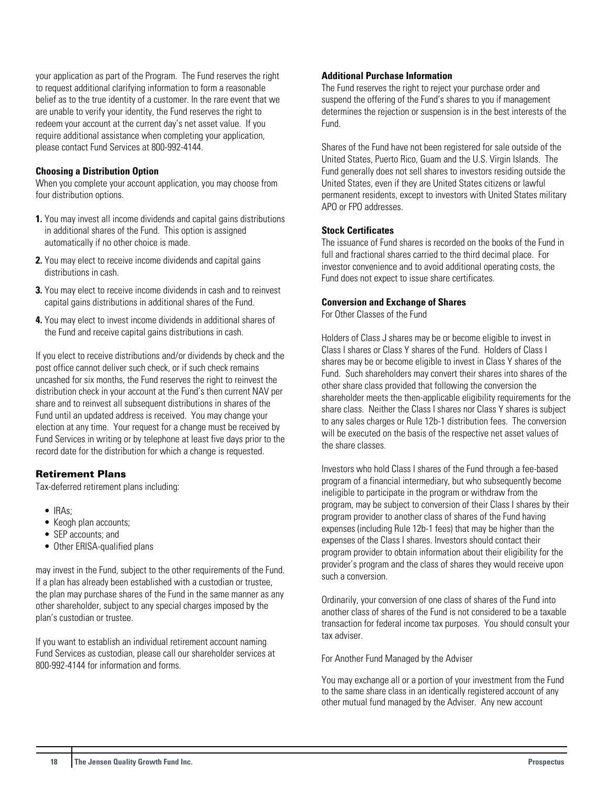your application as part of the Program. The Fund reserves the right to request additional clarifying information to form a reasonable belief as to the true identity of a customer. In the rare event that we are unable to verify your identity, the Fund reserves the right to redeem your account at the current day's net asset value. If you require additional assistance when completing your application, please contact Fund Services at 800-992-4144.

#### **Choosing a Distribution Option**

When you complete your account application, you may choose from four distribution options.

- **1.** You may invest all income dividends and capital gains distributions in additional shares of the Fund. This option is assigned automatically if no other choice is made.
- **2.** You may elect to receive income dividends and capital gains distributions in cash.
- **3.** You may elect to receive income dividends in cash and to reinvest capital gains distributions in additional shares of the Fund.
- **4.** You may elect to invest income dividends in additional shares of the Fund and receive capital gains distributions in cash.

If you elect to receive distributions and/or dividends by check and the post office cannot deliver such check, or if such check remains uncashed for six months, the Fund reserves the right to reinvest the distribution check in your account at the Fund's then current NAV per share and to reinvest all subsequent distributions in shares of the Fund until an updated address is received. You may change your election at any time. Your request for a change must be received by Fund Services in writing or by telephone at least five days prior to the record date for the distribution for which a change is requested.

## Retirement Plans

Tax-deferred retirement plans including:

- IRAs;
- Keogh plan accounts;
- SEP accounts; and
- Other ERISA-qualified plans

may invest in the Fund, subject to the other requirements of the Fund. If a plan has already been established with a custodian or trustee, the plan may purchase shares of the Fund in the same manner as any other shareholder, subject to any special charges imposed by the plan's custodian or trustee.

If you want to establish an individual retirement account naming Fund Services as custodian, please call our shareholder services at 800-992-4144 for information and forms.

#### **Additional Purchase Information**

The Fund reserves the right to reject your purchase order and suspend the offering of the Fund's shares to you if management determines the rejection or suspension is in the best interests of the Fund.

Shares of the Fund have not been registered for sale outside of the United States, Puerto Rico, Guam and the U.S. Virgin Islands. The Fund generally does not sell shares to investors residing outside the United States, even if they are United States citizens or lawful permanent residents, except to investors with United States military APO or FPO addresses.

#### **Stock Certificates**

The issuance of Fund shares is recorded on the books of the Fund in full and fractional shares carried to the third decimal place. For investor convenience and to avoid additional operating costs, the Fund does not expect to issue share certificates.

#### **Conversion and Exchange of Shares**

For Other Classes of the Fund

Holders of Class J shares may be or become eligible to invest in Class I shares or Class Y shares of the Fund. Holders of Class I shares may be or become eligible to invest in Class Y shares of the Fund. Such shareholders may convert their shares into shares of the other share class provided that following the conversion the shareholder meets the then-applicable eligibility requirements for the share class. Neither the Class I shares nor Class Y shares is subject to any sales charges or Rule 12b-1 distribution fees. The conversion will be executed on the basis of the respective net asset values of the share classes.

Investors who hold Class I shares of the Fund through a fee-based program of a financial intermediary, but who subsequently become ineligible to participate in the program or withdraw from the program, may be subject to conversion of their Class I shares by their program provider to another class of shares of the Fund having expenses (including Rule 12b-1 fees) that may be higher than the expenses of the Class I shares. Investors should contact their program provider to obtain information about their eligibility for the provider's program and the class of shares they would receive upon such a conversion.

Ordinarily, your conversion of one class of shares of the Fund into another class of shares of the Fund is not considered to be a taxable transaction for federal income tax purposes. You should consult your tax adviser.

For Another Fund Managed by the Adviser

You may exchange all or a portion of your investment from the Fund to the same share class in an identically registered account of any other mutual fund managed by the Adviser. Any new account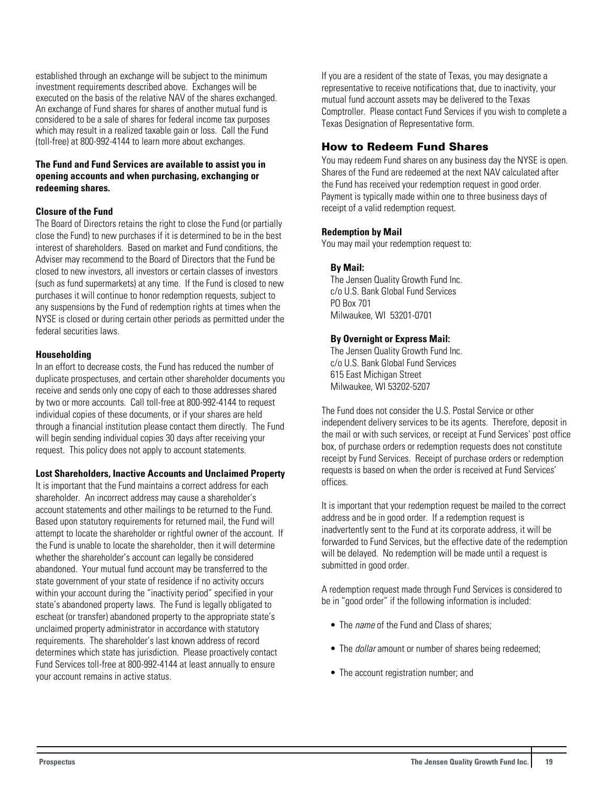<span id="page-19-0"></span>established through an exchange will be subject to the minimum investment requirements described above. Exchanges will be executed on the basis of the relative NAV of the shares exchanged. An exchange of Fund shares for shares of another mutual fund is considered to be a sale of shares for federal income tax purposes which may result in a realized taxable gain or loss. Call the Fund (toll-free) at 800-992-4144 to learn more about exchanges.

## **The Fund and Fund Services are available to assist you in opening accounts and when purchasing, exchanging or redeeming shares.**

## **Closure of the Fund**

The Board of Directors retains the right to close the Fund (or partially close the Fund) to new purchases if it is determined to be in the best interest of shareholders. Based on market and Fund conditions, the Adviser may recommend to the Board of Directors that the Fund be closed to new investors, all investors or certain classes of investors (such as fund supermarkets) at any time. If the Fund is closed to new purchases it will continue to honor redemption requests, subject to any suspensions by the Fund of redemption rights at times when the NYSE is closed or during certain other periods as permitted under the federal securities laws.

#### **Householding**

In an effort to decrease costs, the Fund has reduced the number of duplicate prospectuses, and certain other shareholder documents you receive and sends only one copy of each to those addresses shared by two or more accounts. Call toll-free at 800-992-4144 to request individual copies of these documents, or if your shares are held through a financial institution please contact them directly. The Fund will begin sending individual copies 30 days after receiving your request. This policy does not apply to account statements.

#### **Lost Shareholders, Inactive Accounts and Unclaimed Property**

It is important that the Fund maintains a correct address for each shareholder. An incorrect address may cause a shareholder's account statements and other mailings to be returned to the Fund. Based upon statutory requirements for returned mail, the Fund will attempt to locate the shareholder or rightful owner of the account. If the Fund is unable to locate the shareholder, then it will determine whether the shareholder's account can legally be considered abandoned. Your mutual fund account may be transferred to the state government of your state of residence if no activity occurs within your account during the "inactivity period" specified in your state's abandoned property laws. The Fund is legally obligated to escheat (or transfer) abandoned property to the appropriate state's unclaimed property administrator in accordance with statutory requirements. The shareholder's last known address of record determines which state has jurisdiction. Please proactively contact Fund Services toll-free at 800-992-4144 at least annually to ensure your account remains in active status.

If you are a resident of the state of Texas, you may designate a representative to receive notifications that, due to inactivity, your mutual fund account assets may be delivered to the Texas Comptroller. Please contact Fund Services if you wish to complete a Texas Designation of Representative form.

## How to Redeem Fund Shares

You may redeem Fund shares on any business day the NYSE is open. Shares of the Fund are redeemed at the next NAV calculated after the Fund has received your redemption request in good order. Payment is typically made within one to three business days of receipt of a valid redemption request.

## **Redemption by Mail**

You may mail your redemption request to:

## **By Mail:**

The Jensen Quality Growth Fund Inc. c/o U.S. Bank Global Fund Services PO Box 701 Milwaukee, WI 53201-0701

#### **By Overnight or Express Mail:**

The Jensen Quality Growth Fund Inc. c/o U.S. Bank Global Fund Services 615 East Michigan Street Milwaukee, WI 53202-5207

The Fund does not consider the U.S. Postal Service or other independent delivery services to be its agents. Therefore, deposit in the mail or with such services, or receipt at Fund Services' post office box, of purchase orders or redemption requests does not constitute receipt by Fund Services. Receipt of purchase orders or redemption requests is based on when the order is received at Fund Services' offices.

It is important that your redemption request be mailed to the correct address and be in good order. If a redemption request is inadvertently sent to the Fund at its corporate address, it will be forwarded to Fund Services, but the effective date of the redemption will be delayed. No redemption will be made until a request is submitted in good order.

A redemption request made through Fund Services is considered to be in "good order" if the following information is included:

- The *name* of the Fund and Class of shares:
- The *dollar* amount or number of shares being redeemed;
- The account registration number; and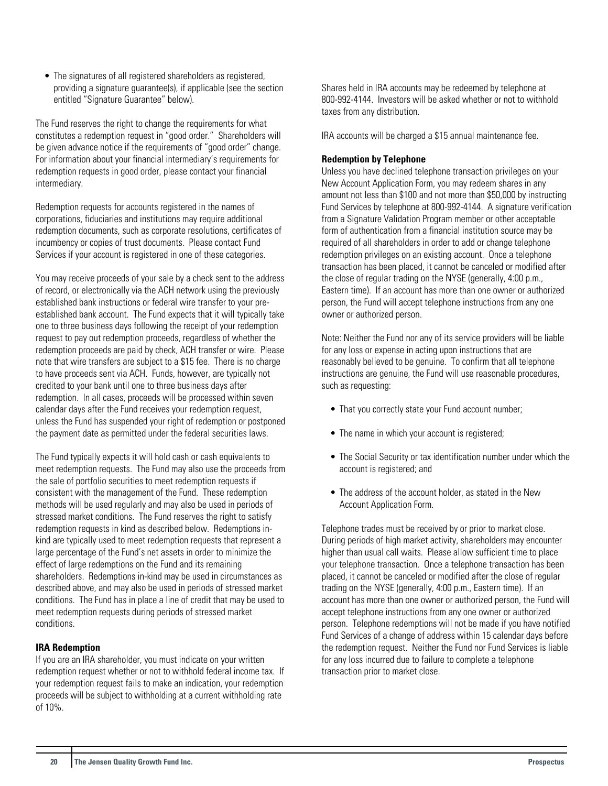• The signatures of all registered shareholders as registered, providing a signature guarantee(s), if applicable (see the section entitled "Signature Guarantee" below).

The Fund reserves the right to change the requirements for what constitutes a redemption request in "good order." Shareholders will be given advance notice if the requirements of "good order" change. For information about your financial intermediary's requirements for redemption requests in good order, please contact your financial intermediary.

Redemption requests for accounts registered in the names of corporations, fiduciaries and institutions may require additional redemption documents, such as corporate resolutions, certificates of incumbency or copies of trust documents. Please contact Fund Services if your account is registered in one of these categories.

You may receive proceeds of your sale by a check sent to the address of record, or electronically via the ACH network using the previously established bank instructions or federal wire transfer to your preestablished bank account. The Fund expects that it will typically take one to three business days following the receipt of your redemption request to pay out redemption proceeds, regardless of whether the redemption proceeds are paid by check, ACH transfer or wire. Please note that wire transfers are subject to a \$15 fee. There is no charge to have proceeds sent via ACH. Funds, however, are typically not credited to your bank until one to three business days after redemption. In all cases, proceeds will be processed within seven calendar days after the Fund receives your redemption request, unless the Fund has suspended your right of redemption or postponed the payment date as permitted under the federal securities laws.

The Fund typically expects it will hold cash or cash equivalents to meet redemption requests. The Fund may also use the proceeds from the sale of portfolio securities to meet redemption requests if consistent with the management of the Fund. These redemption methods will be used regularly and may also be used in periods of stressed market conditions. The Fund reserves the right to satisfy redemption requests in kind as described below. Redemptions inkind are typically used to meet redemption requests that represent a large percentage of the Fund's net assets in order to minimize the effect of large redemptions on the Fund and its remaining shareholders. Redemptions in-kind may be used in circumstances as described above, and may also be used in periods of stressed market conditions. The Fund has in place a line of credit that may be used to meet redemption requests during periods of stressed market conditions.

## **IRA Redemption**

If you are an IRA shareholder, you must indicate on your written redemption request whether or not to withhold federal income tax. If your redemption request fails to make an indication, your redemption proceeds will be subject to withholding at a current withholding rate of 10%.

Shares held in IRA accounts may be redeemed by telephone at 800-992-4144. Investors will be asked whether or not to withhold taxes from any distribution.

IRA accounts will be charged a \$15 annual maintenance fee.

#### **Redemption by Telephone**

Unless you have declined telephone transaction privileges on your New Account Application Form, you may redeem shares in any amount not less than \$100 and not more than \$50,000 by instructing Fund Services by telephone at 800-992-4144. A signature verification from a Signature Validation Program member or other acceptable form of authentication from a financial institution source may be required of all shareholders in order to add or change telephone redemption privileges on an existing account. Once a telephone transaction has been placed, it cannot be canceled or modified after the close of regular trading on the NYSE (generally, 4:00 p.m., Eastern time). If an account has more than one owner or authorized person, the Fund will accept telephone instructions from any one owner or authorized person.

Note: Neither the Fund nor any of its service providers will be liable for any loss or expense in acting upon instructions that are reasonably believed to be genuine. To confirm that all telephone instructions are genuine, the Fund will use reasonable procedures, such as requesting:

- That you correctly state your Fund account number;
- The name in which your account is registered;
- The Social Security or tax identification number under which the account is registered; and
- The address of the account holder, as stated in the New Account Application Form.

Telephone trades must be received by or prior to market close. During periods of high market activity, shareholders may encounter higher than usual call waits. Please allow sufficient time to place your telephone transaction. Once a telephone transaction has been placed, it cannot be canceled or modified after the close of regular trading on the NYSE (generally, 4:00 p.m., Eastern time). If an account has more than one owner or authorized person, the Fund will accept telephone instructions from any one owner or authorized person. Telephone redemptions will not be made if you have notified Fund Services of a change of address within 15 calendar days before the redemption request. Neither the Fund nor Fund Services is liable for any loss incurred due to failure to complete a telephone transaction prior to market close.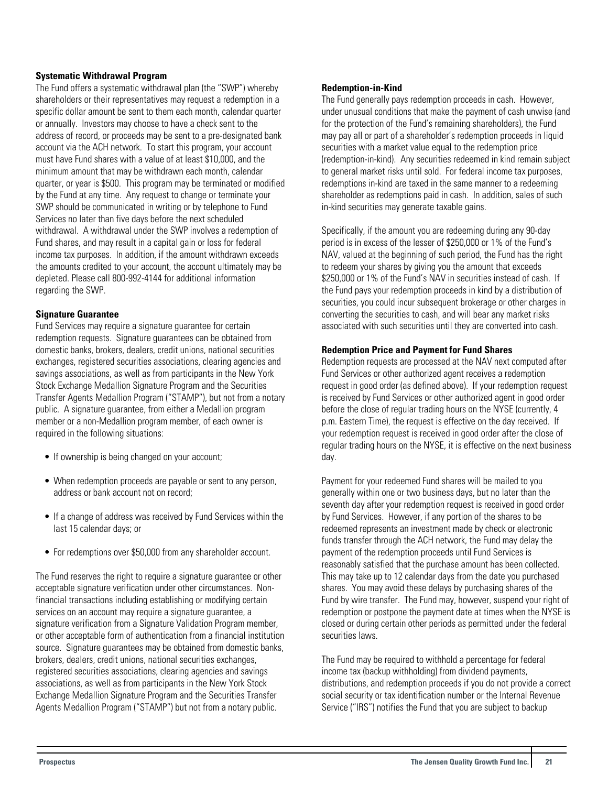#### **Systematic Withdrawal Program**

The Fund offers a systematic withdrawal plan (the "SWP") whereby shareholders or their representatives may request a redemption in a specific dollar amount be sent to them each month, calendar quarter or annually. Investors may choose to have a check sent to the address of record, or proceeds may be sent to a pre-designated bank account via the ACH network. To start this program, your account must have Fund shares with a value of at least \$10,000, and the minimum amount that may be withdrawn each month, calendar quarter, or year is \$500. This program may be terminated or modified by the Fund at any time. Any request to change or terminate your SWP should be communicated in writing or by telephone to Fund Services no later than five days before the next scheduled withdrawal. A withdrawal under the SWP involves a redemption of Fund shares, and may result in a capital gain or loss for federal income tax purposes. In addition, if the amount withdrawn exceeds the amounts credited to your account, the account ultimately may be depleted. Please call 800-992-4144 for additional information regarding the SWP.

#### **Signature Guarantee**

Fund Services may require a signature guarantee for certain redemption requests. Signature guarantees can be obtained from domestic banks, brokers, dealers, credit unions, national securities exchanges, registered securities associations, clearing agencies and savings associations, as well as from participants in the New York Stock Exchange Medallion Signature Program and the Securities Transfer Agents Medallion Program ("STAMP"), but not from a notary public. A signature guarantee, from either a Medallion program member or a non-Medallion program member, of each owner is required in the following situations:

- If ownership is being changed on your account;
- When redemption proceeds are payable or sent to any person, address or bank account not on record;
- If a change of address was received by Fund Services within the last 15 calendar days; or
- For redemptions over \$50,000 from any shareholder account.

The Fund reserves the right to require a signature guarantee or other acceptable signature verification under other circumstances. Nonfinancial transactions including establishing or modifying certain services on an account may require a signature guarantee, a signature verification from a Signature Validation Program member, or other acceptable form of authentication from a financial institution source. Signature guarantees may be obtained from domestic banks, brokers, dealers, credit unions, national securities exchanges, registered securities associations, clearing agencies and savings associations, as well as from participants in the New York Stock Exchange Medallion Signature Program and the Securities Transfer Agents Medallion Program ("STAMP") but not from a notary public.

#### **Redemption-in-Kind**

The Fund generally pays redemption proceeds in cash. However, under unusual conditions that make the payment of cash unwise (and for the protection of the Fund's remaining shareholders), the Fund may pay all or part of a shareholder's redemption proceeds in liquid securities with a market value equal to the redemption price (redemption-in-kind). Any securities redeemed in kind remain subject to general market risks until sold. For federal income tax purposes, redemptions in-kind are taxed in the same manner to a redeeming shareholder as redemptions paid in cash. In addition, sales of such in-kind securities may generate taxable gains.

Specifically, if the amount you are redeeming during any 90-day period is in excess of the lesser of \$250,000 or 1% of the Fund's NAV, valued at the beginning of such period, the Fund has the right to redeem your shares by giving you the amount that exceeds \$250,000 or 1% of the Fund's NAV in securities instead of cash. If the Fund pays your redemption proceeds in kind by a distribution of securities, you could incur subsequent brokerage or other charges in converting the securities to cash, and will bear any market risks associated with such securities until they are converted into cash.

#### **Redemption Price and Payment for Fund Shares**

Redemption requests are processed at the NAV next computed after Fund Services or other authorized agent receives a redemption request in good order (as defined above). If your redemption request is received by Fund Services or other authorized agent in good order before the close of regular trading hours on the NYSE (currently, 4 p.m. Eastern Time), the request is effective on the day received. If your redemption request is received in good order after the close of regular trading hours on the NYSE, it is effective on the next business day.

Payment for your redeemed Fund shares will be mailed to you generally within one or two business days, but no later than the seventh day after your redemption request is received in good order by Fund Services. However, if any portion of the shares to be redeemed represents an investment made by check or electronic funds transfer through the ACH network, the Fund may delay the payment of the redemption proceeds until Fund Services is reasonably satisfied that the purchase amount has been collected. This may take up to 12 calendar days from the date you purchased shares. You may avoid these delays by purchasing shares of the Fund by wire transfer. The Fund may, however, suspend your right of redemption or postpone the payment date at times when the NYSE is closed or during certain other periods as permitted under the federal securities laws.

The Fund may be required to withhold a percentage for federal income tax (backup withholding) from dividend payments, distributions, and redemption proceeds if you do not provide a correct social security or tax identification number or the Internal Revenue Service ("IRS") notifies the Fund that you are subject to backup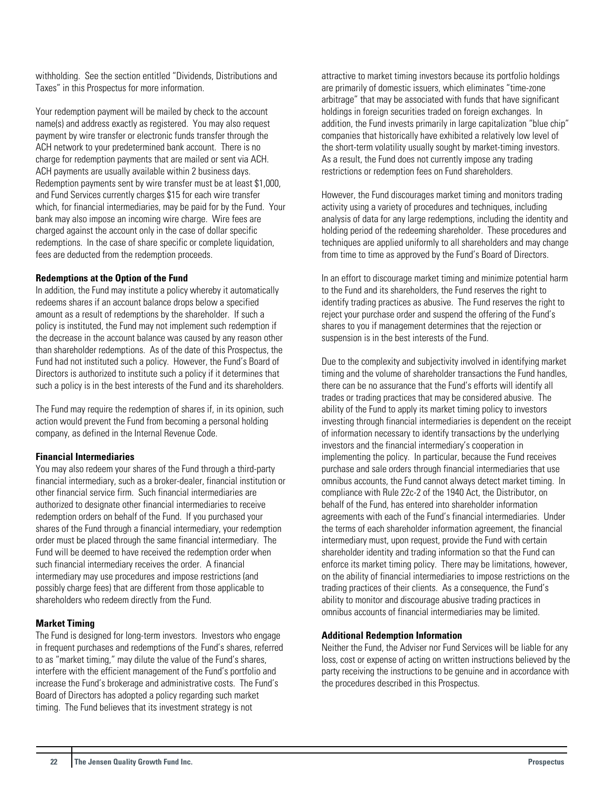withholding. See the section entitled "Dividends, Distributions and Taxes" in this Prospectus for more information.

Your redemption payment will be mailed by check to the account name(s) and address exactly as registered. You may also request payment by wire transfer or electronic funds transfer through the ACH network to your predetermined bank account. There is no charge for redemption payments that are mailed or sent via ACH. ACH payments are usually available within 2 business days. Redemption payments sent by wire transfer must be at least \$1,000, and Fund Services currently charges \$15 for each wire transfer which, for financial intermediaries, may be paid for by the Fund. Your bank may also impose an incoming wire charge. Wire fees are charged against the account only in the case of dollar specific redemptions. In the case of share specific or complete liquidation, fees are deducted from the redemption proceeds.

#### **Redemptions at the Option of the Fund**

In addition, the Fund may institute a policy whereby it automatically redeems shares if an account balance drops below a specified amount as a result of redemptions by the shareholder. If such a policy is instituted, the Fund may not implement such redemption if the decrease in the account balance was caused by any reason other than shareholder redemptions. As of the date of this Prospectus, the Fund had not instituted such a policy. However, the Fund's Board of Directors is authorized to institute such a policy if it determines that such a policy is in the best interests of the Fund and its shareholders.

The Fund may require the redemption of shares if, in its opinion, such action would prevent the Fund from becoming a personal holding company, as defined in the Internal Revenue Code.

## **Financial Intermediaries**

You may also redeem your shares of the Fund through a third-party financial intermediary, such as a broker-dealer, financial institution or other financial service firm. Such financial intermediaries are authorized to designate other financial intermediaries to receive redemption orders on behalf of the Fund. If you purchased your shares of the Fund through a financial intermediary, your redemption order must be placed through the same financial intermediary. The Fund will be deemed to have received the redemption order when such financial intermediary receives the order. A financial intermediary may use procedures and impose restrictions (and possibly charge fees) that are different from those applicable to shareholders who redeem directly from the Fund.

## **Market Timing**

The Fund is designed for long-term investors. Investors who engage in frequent purchases and redemptions of the Fund's shares, referred to as "market timing," may dilute the value of the Fund's shares, interfere with the efficient management of the Fund's portfolio and increase the Fund's brokerage and administrative costs. The Fund's Board of Directors has adopted a policy regarding such market timing. The Fund believes that its investment strategy is not

attractive to market timing investors because its portfolio holdings are primarily of domestic issuers, which eliminates "time-zone arbitrage" that may be associated with funds that have significant holdings in foreign securities traded on foreign exchanges. In addition, the Fund invests primarily in large capitalization "blue chip" companies that historically have exhibited a relatively low level of the short-term volatility usually sought by market-timing investors. As a result, the Fund does not currently impose any trading restrictions or redemption fees on Fund shareholders.

However, the Fund discourages market timing and monitors trading activity using a variety of procedures and techniques, including analysis of data for any large redemptions, including the identity and holding period of the redeeming shareholder. These procedures and techniques are applied uniformly to all shareholders and may change from time to time as approved by the Fund's Board of Directors.

In an effort to discourage market timing and minimize potential harm to the Fund and its shareholders, the Fund reserves the right to identify trading practices as abusive. The Fund reserves the right to reject your purchase order and suspend the offering of the Fund's shares to you if management determines that the rejection or suspension is in the best interests of the Fund.

Due to the complexity and subjectivity involved in identifying market timing and the volume of shareholder transactions the Fund handles, there can be no assurance that the Fund's efforts will identify all trades or trading practices that may be considered abusive. The ability of the Fund to apply its market timing policy to investors investing through financial intermediaries is dependent on the receipt of information necessary to identify transactions by the underlying investors and the financial intermediary's cooperation in implementing the policy. In particular, because the Fund receives purchase and sale orders through financial intermediaries that use omnibus accounts, the Fund cannot always detect market timing. In compliance with Rule 22c-2 of the 1940 Act, the Distributor, on behalf of the Fund, has entered into shareholder information agreements with each of the Fund's financial intermediaries. Under the terms of each shareholder information agreement, the financial intermediary must, upon request, provide the Fund with certain shareholder identity and trading information so that the Fund can enforce its market timing policy. There may be limitations, however, on the ability of financial intermediaries to impose restrictions on the trading practices of their clients. As a consequence, the Fund's ability to monitor and discourage abusive trading practices in omnibus accounts of financial intermediaries may be limited.

#### **Additional Redemption Information**

Neither the Fund, the Adviser nor Fund Services will be liable for any loss, cost or expense of acting on written instructions believed by the party receiving the instructions to be genuine and in accordance with the procedures described in this Prospectus.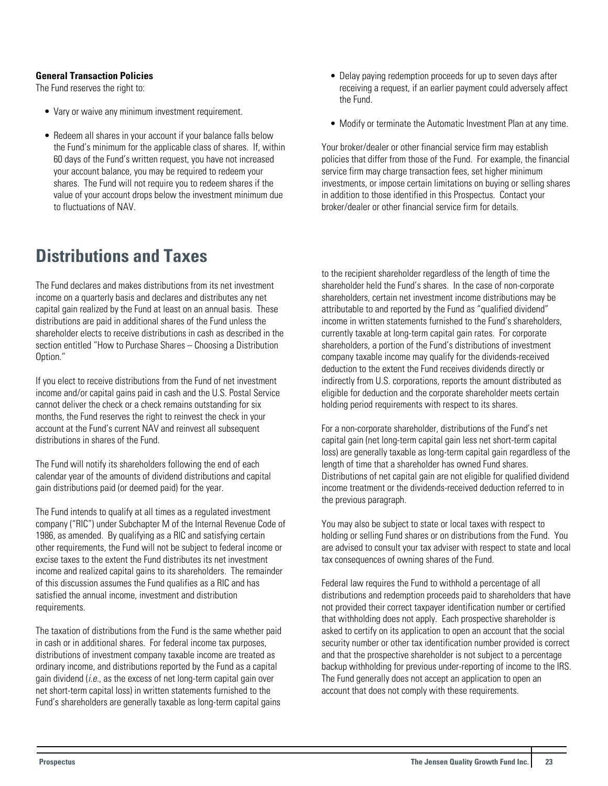## <span id="page-23-0"></span>**General Transaction Policies**

The Fund reserves the right to:

- Vary or waive any minimum investment requirement.
- Redeem all shares in your account if your balance falls below the Fund's minimum for the applicable class of shares. If, within 60 days of the Fund's written request, you have not increased your account balance, you may be required to redeem your shares. The Fund will not require you to redeem shares if the value of your account drops below the investment minimum due to fluctuations of NAV.

## **Distributions and Taxes**

The Fund declares and makes distributions from its net investment income on a quarterly basis and declares and distributes any net capital gain realized by the Fund at least on an annual basis. These distributions are paid in additional shares of the Fund unless the shareholder elects to receive distributions in cash as described in the section entitled "How to Purchase Shares – Choosing a Distribution Option."

If you elect to receive distributions from the Fund of net investment income and/or capital gains paid in cash and the U.S. Postal Service cannot deliver the check or a check remains outstanding for six months, the Fund reserves the right to reinvest the check in your account at the Fund's current NAV and reinvest all subsequent distributions in shares of the Fund.

The Fund will notify its shareholders following the end of each calendar year of the amounts of dividend distributions and capital gain distributions paid (or deemed paid) for the year.

The Fund intends to qualify at all times as a regulated investment company ("RIC") under Subchapter M of the Internal Revenue Code of 1986, as amended. By qualifying as a RIC and satisfying certain other requirements, the Fund will not be subject to federal income or excise taxes to the extent the Fund distributes its net investment income and realized capital gains to its shareholders. The remainder of this discussion assumes the Fund qualifies as a RIC and has satisfied the annual income, investment and distribution requirements.

The taxation of distributions from the Fund is the same whether paid in cash or in additional shares. For federal income tax purposes, distributions of investment company taxable income are treated as ordinary income, and distributions reported by the Fund as a capital gain dividend  $(i.e.,$  as the excess of net long-term capital gain over net short-term capital loss) in written statements furnished to the Fund's shareholders are generally taxable as long-term capital gains

- Delay paying redemption proceeds for up to seven days after receiving a request, if an earlier payment could adversely affect the Fund.
- Modify or terminate the Automatic Investment Plan at any time.

Your broker/dealer or other financial service firm may establish policies that differ from those of the Fund. For example, the financial service firm may charge transaction fees, set higher minimum investments, or impose certain limitations on buying or selling shares in addition to those identified in this Prospectus. Contact your broker/dealer or other financial service firm for details.

to the recipient shareholder regardless of the length of time the shareholder held the Fund's shares. In the case of non-corporate shareholders, certain net investment income distributions may be attributable to and reported by the Fund as "qualified dividend" income in written statements furnished to the Fund's shareholders, currently taxable at long-term capital gain rates. For corporate shareholders, a portion of the Fund's distributions of investment company taxable income may qualify for the dividends-received deduction to the extent the Fund receives dividends directly or indirectly from U.S. corporations, reports the amount distributed as eligible for deduction and the corporate shareholder meets certain holding period requirements with respect to its shares.

For a non-corporate shareholder, distributions of the Fund's net capital gain (net long-term capital gain less net short-term capital loss) are generally taxable as long-term capital gain regardless of the length of time that a shareholder has owned Fund shares. Distributions of net capital gain are not eligible for qualified dividend income treatment or the dividends-received deduction referred to in the previous paragraph.

You may also be subject to state or local taxes with respect to holding or selling Fund shares or on distributions from the Fund. You are advised to consult your tax adviser with respect to state and local tax consequences of owning shares of the Fund.

Federal law requires the Fund to withhold a percentage of all distributions and redemption proceeds paid to shareholders that have not provided their correct taxpayer identification number or certified that withholding does not apply. Each prospective shareholder is asked to certify on its application to open an account that the social security number or other tax identification number provided is correct and that the prospective shareholder is not subject to a percentage backup withholding for previous under-reporting of income to the IRS. The Fund generally does not accept an application to open an account that does not comply with these requirements.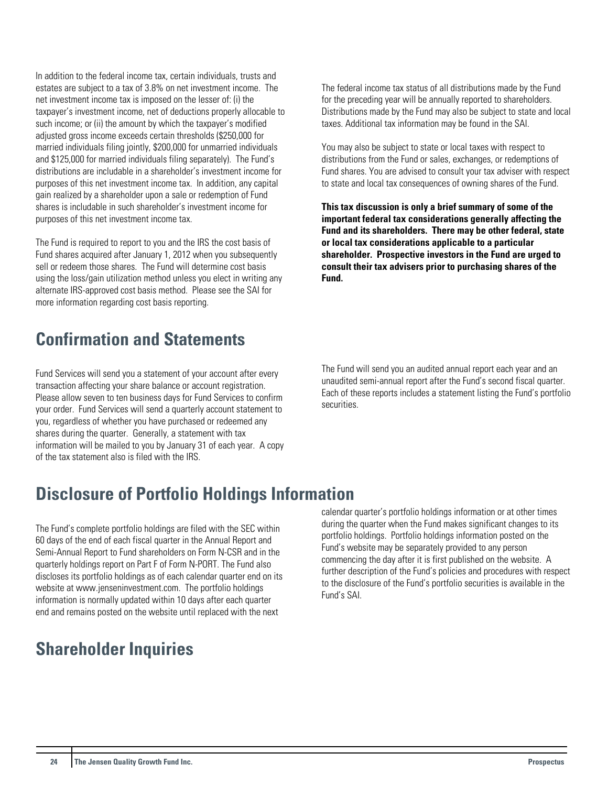<span id="page-24-0"></span>In addition to the federal income tax, certain individuals, trusts and estates are subject to a tax of 3.8% on net investment income. The net investment income tax is imposed on the lesser of: (i) the taxpayer's investment income, net of deductions properly allocable to such income; or (ii) the amount by which the taxpayer's modified adjusted gross income exceeds certain thresholds (\$250,000 for married individuals filing jointly, \$200,000 for unmarried individuals and \$125,000 for married individuals filing separately). The Fund's distributions are includable in a shareholder's investment income for purposes of this net investment income tax. In addition, any capital gain realized by a shareholder upon a sale or redemption of Fund shares is includable in such shareholder's investment income for purposes of this net investment income tax.

The Fund is required to report to you and the IRS the cost basis of Fund shares acquired after January 1, 2012 when you subsequently sell or redeem those shares. The Fund will determine cost basis using the loss/gain utilization method unless you elect in writing any alternate IRS-approved cost basis method. Please see the SAI for more information regarding cost basis reporting.

## **Confirmation and Statements**

Fund Services will send you a statement of your account after every transaction affecting your share balance or account registration. Please allow seven to ten business days for Fund Services to confirm your order. Fund Services will send a quarterly account statement to you, regardless of whether you have purchased or redeemed any shares during the quarter. Generally, a statement with tax information will be mailed to you by January 31 of each year. A copy of the tax statement also is filed with the IRS.

The federal income tax status of all distributions made by the Fund for the preceding year will be annually reported to shareholders. Distributions made by the Fund may also be subject to state and local taxes. Additional tax information may be found in the SAI.

You may also be subject to state or local taxes with respect to distributions from the Fund or sales, exchanges, or redemptions of Fund shares. You are advised to consult your tax adviser with respect to state and local tax consequences of owning shares of the Fund.

**This tax discussion is only a brief summary of some of the important federal tax considerations generally affecting the Fund and its shareholders. There may be other federal, state or local tax considerations applicable to a particular shareholder. Prospective investors in the Fund are urged to consult their tax advisers prior to purchasing shares of the Fund.**

The Fund will send you an audited annual report each year and an unaudited semi-annual report after the Fund's second fiscal quarter. Each of these reports includes a statement listing the Fund's portfolio securities.

## **Disclosure of Portfolio Holdings Information**

The Fund's complete portfolio holdings are filed with the SEC within 60 days of the end of each fiscal quarter in the Annual Report and Semi-Annual Report to Fund shareholders on Form N-CSR and in the quarterly holdings report on Part F of Form N-PORT. The Fund also discloses its portfolio holdings as of each calendar quarter end on its website at www.jenseninvestment.com. The portfolio holdings information is normally updated within 10 days after each quarter end and remains posted on the website until replaced with the next

## **Shareholder Inquiries**

calendar quarter's portfolio holdings information or at other times during the quarter when the Fund makes significant changes to its portfolio holdings. Portfolio holdings information posted on the Fund's website may be separately provided to any person commencing the day after it is first published on the website. A further description of the Fund's policies and procedures with respect to the disclosure of the Fund's portfolio securities is available in the Fund's SAI.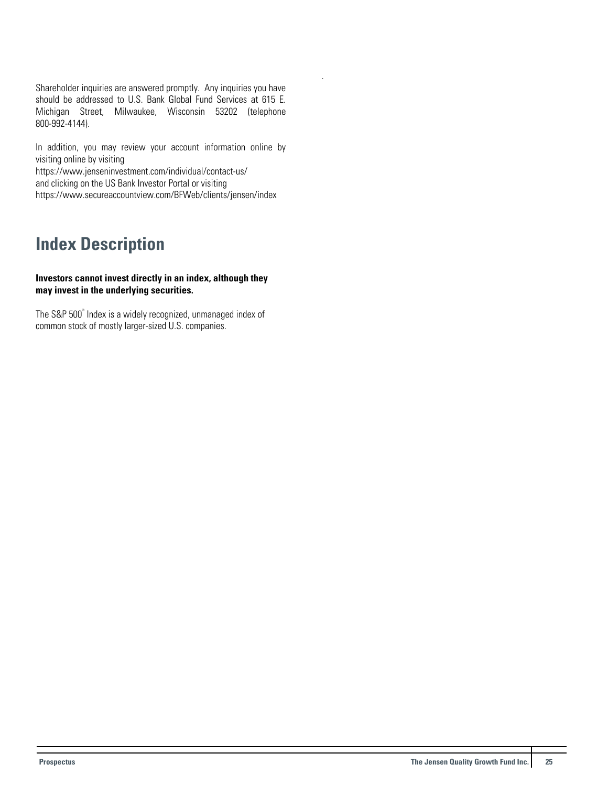<span id="page-25-0"></span>Shareholder inquiries are answered promptly. Any inquiries you have should be addressed to U.S. Bank Global Fund Services at 615 E. Michigan Street, Milwaukee, Wisconsin 53202 (telephone 800-992-4144).

.

In addition, you may review your account information online by visiting online by visiting

https://www.jenseninvestment.com/individual/contact-us/ and clicking on the US Bank Investor Portal or visiting https://www.secureaccountview.com/BFWeb/clients/jensen/index

## **Index Description**

#### **Investors cannot invest directly in an index, although they may invest in the underlying securities.**

The S&P 500° Index is a widely recognized, unmanaged index of common stock of mostly larger-sized U.S. companies.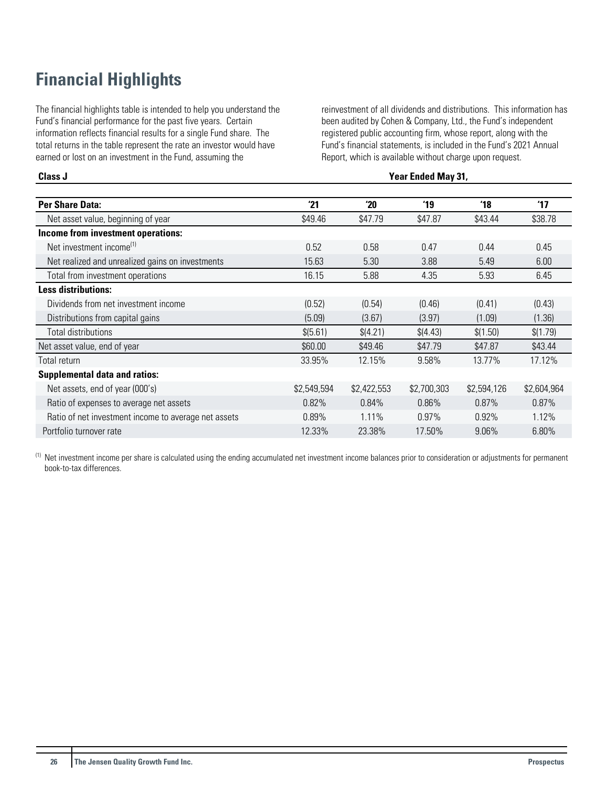## <span id="page-26-0"></span>**Financial Highlights**

The financial highlights table is intended to help you understand the Fund's financial performance for the past five years. Certain information reflects financial results for a single Fund share. The total returns in the table represent the rate an investor would have earned or lost on an investment in the Fund, assuming the

reinvestment of all dividends and distributions. This information has been audited by Cohen & Company, Ltd., the Fund's independent registered public accounting firm, whose report, along with the Fund's financial statements, is included in the Fund's 2021 Annual Report, which is available without charge upon request.

#### **Class J Year Ended May 31,**

| <b>Per Share Data:</b>                               | '21         | 20          | '19         | '18         | '17         |
|------------------------------------------------------|-------------|-------------|-------------|-------------|-------------|
| Net asset value, beginning of year                   | \$49.46     | \$47.79     | \$47.87     | \$43.44     | \$38.78     |
| Income from investment operations:                   |             |             |             |             |             |
| Net investment income <sup>(1)</sup>                 | 0.52        | 0.58        | 0.47        | 0.44        | 0.45        |
| Net realized and unrealized gains on investments     | 15.63       | 5.30        | 3.88        | 5.49        | 6.00        |
| Total from investment operations                     | 16.15       | 5.88        | 4.35        | 5.93        | 6.45        |
| <b>Less distributions:</b>                           |             |             |             |             |             |
| Dividends from net investment income                 | (0.52)      | (0.54)      | (0.46)      | (0.41)      | (0.43)      |
| Distributions from capital gains                     | (5.09)      | (3.67)      | (3.97)      | (1.09)      | (1.36)      |
| Total distributions                                  | \$(5.61)    | \$(4.21)    | \$(4.43)    | \$(1.50)    | \$(1.79)    |
| Net asset value, end of year                         | \$60.00     | \$49.46     | \$47.79     | \$47.87     | \$43.44     |
| Total return                                         | 33.95%      | 12.15%      | 9.58%       | 13.77%      | 17.12%      |
| <b>Supplemental data and ratios:</b>                 |             |             |             |             |             |
| Net assets, end of year (000's)                      | \$2,549,594 | \$2,422,553 | \$2,700,303 | \$2,594,126 | \$2,604,964 |
| Ratio of expenses to average net assets              | 0.82%       | 0.84%       | 0.86%       | 0.87%       | 0.87%       |
| Ratio of net investment income to average net assets | 0.89%       | 1.11%       | 0.97%       | 0.92%       | 1.12%       |
| Portfolio turnover rate                              | 12.33%      | 23.38%      | 17.50%      | $9.06\%$    | 6.80%       |

(1) Net investment income per share is calculated using the ending accumulated net investment income balances prior to consideration or adjustments for permanent book-to-tax differences.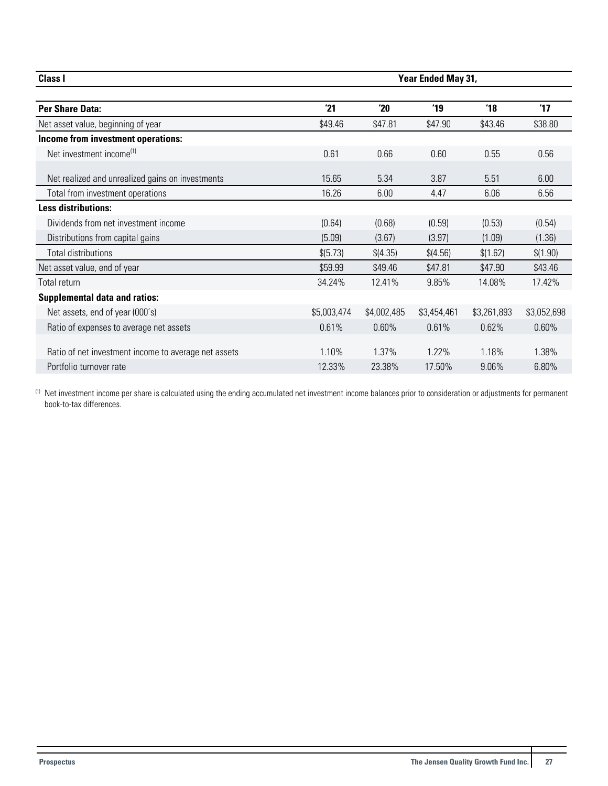| <b>Class I</b>                                       |             | Year Ended May 31, |                |                |               |  |
|------------------------------------------------------|-------------|--------------------|----------------|----------------|---------------|--|
| <b>Per Share Data:</b>                               | 21          | 20                 | $^{\prime}$ 19 | $^{\prime}$ 18 | $^{\prime}17$ |  |
| Net asset value, beginning of year                   | \$49.46     | \$47.81            | \$47.90        | \$43.46        | \$38.80       |  |
| Income from investment operations:                   |             |                    |                |                |               |  |
| Net investment income <sup>(1)</sup>                 | 0.61        | 0.66               | 0.60           | 0.55           | 0.56          |  |
| Net realized and unrealized gains on investments     | 15.65       | 5.34               | 3.87           | 5.51           | 6.00          |  |
| Total from investment operations                     | 16.26       | 6.00               | 4.47           | 6.06           | 6.56          |  |
| <b>Less distributions:</b>                           |             |                    |                |                |               |  |
| Dividends from net investment income                 | (0.64)      | (0.68)             | (0.59)         | (0.53)         | (0.54)        |  |
| Distributions from capital gains                     | (5.09)      | (3.67)             | (3.97)         | (1.09)         | (1.36)        |  |
| <b>Total distributions</b>                           | \$ (5.73)   | \$(4.35)           | \$(4.56)       | \$(1.62)       | \$(1.90)      |  |
| Net asset value, end of year                         | \$59.99     | \$49.46            | \$47.81        | \$47.90        | \$43.46       |  |
| Total return                                         | 34.24%      | 12.41%             | 9.85%          | 14.08%         | 17.42%        |  |
| <b>Supplemental data and ratios:</b>                 |             |                    |                |                |               |  |
| Net assets, end of year (000's)                      | \$5,003,474 | \$4,002,485        | \$3,454,461    | \$3,261,893    | \$3,052,698   |  |
| Ratio of expenses to average net assets              | 0.61%       | 0.60%              | 0.61%          | 0.62%          | 0.60%         |  |
| Ratio of net investment income to average net assets | 1.10%       | 1.37%              | 1.22%          | 1.18%          | 1.38%         |  |
| Portfolio turnover rate                              | 12.33%      | 23.38%             | 17.50%         | 9.06%          | 6.80%         |  |

 $^{(1)}$  Net investment income per share is calculated using the ending accumulated net investment income balances prior to consideration or adjustments for permanent book-to-tax differences.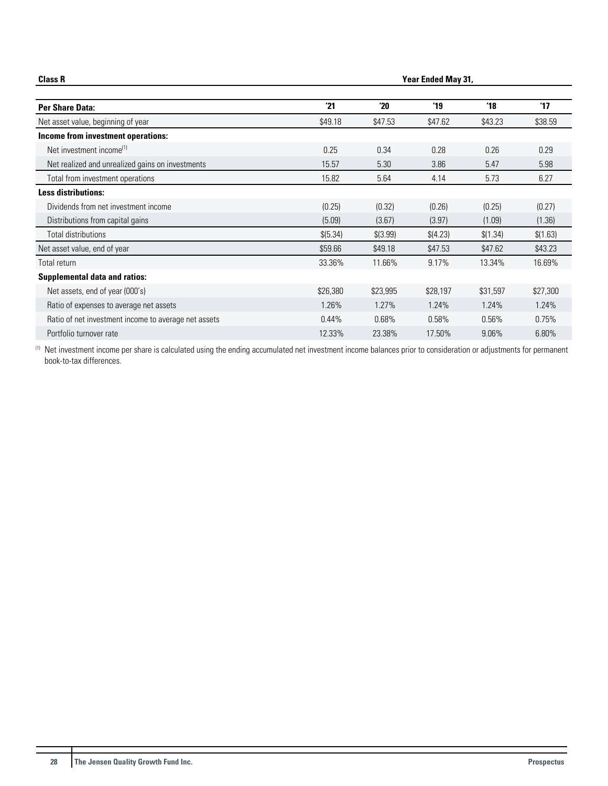| <b>Class R</b>                                       |          | <b>Year Ended May 31,</b> |               |               |               |  |
|------------------------------------------------------|----------|---------------------------|---------------|---------------|---------------|--|
| Per Share Data:                                      | 21       | 20                        | $^{\prime}19$ | $^{\prime}18$ | $^{\prime}17$ |  |
| Net asset value, beginning of year                   | \$49.18  | \$47.53                   | \$47.62       | \$43.23       | \$38.59       |  |
| Income from investment operations:                   |          |                           |               |               |               |  |
| Net investment income <sup>(1)</sup>                 | 0.25     | 0.34                      | 0.28          | 0.26          | 0.29          |  |
| Net realized and unrealized gains on investments     | 15.57    | 5.30                      | 3.86          | 5.47          | 5.98          |  |
| Total from investment operations                     | 15.82    | 5.64                      | 4.14          | 5.73          | 6.27          |  |
| <b>Less distributions:</b>                           |          |                           |               |               |               |  |
| Dividends from net investment income                 | (0.25)   | (0.32)                    | (0.26)        | (0.25)        | (0.27)        |  |
| Distributions from capital gains                     | (5.09)   | (3.67)                    | (3.97)        | (1.09)        | (1.36)        |  |
| Total distributions                                  | \$(5.34) | \$(3.99)                  | \$(4.23)      | \$(1.34)      | \$(1.63)      |  |
| Net asset value, end of year                         | \$59.66  | \$49.18                   | \$47.53       | \$47.62       | \$43.23       |  |
| Total return                                         | 33.36%   | 11.66%                    | 9.17%         | 13.34%        | 16.69%        |  |
| <b>Supplemental data and ratios:</b>                 |          |                           |               |               |               |  |
| Net assets, end of year (000's)                      | \$26,380 | \$23,995                  | \$28,197      | \$31,597      | \$27,300      |  |
| Ratio of expenses to average net assets              | 1.26%    | 1.27%                     | 1.24%         | 1.24%         | 1.24%         |  |
| Ratio of net investment income to average net assets | 0.44%    | 0.68%                     | 0.58%         | 0.56%         | 0.75%         |  |
| Portfolio turnover rate                              | 12.33%   | 23.38%                    | 17.50%        | 9.06%         | 6.80%         |  |

(1) Net investment income per share is calculated using the ending accumulated net investment income balances prior to consideration or adjustments for permanent book-to-tax differences.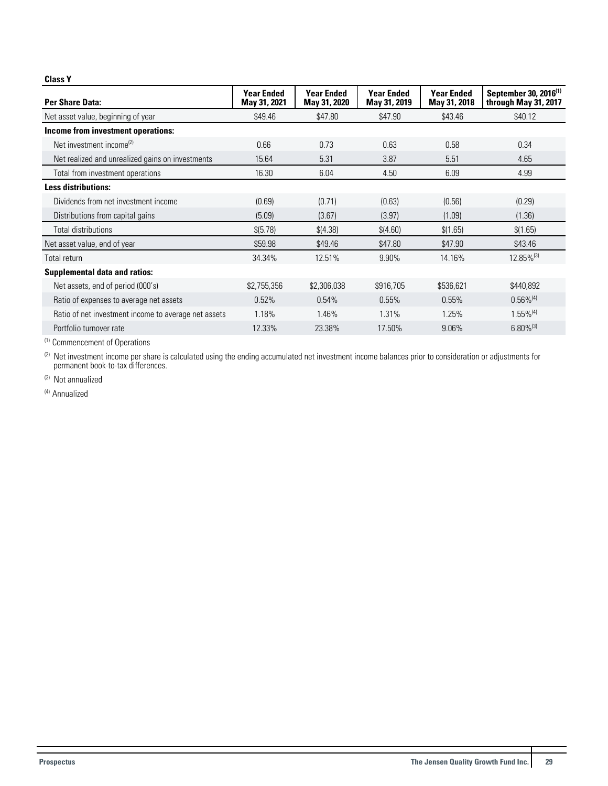#### **Class Y**

| Per Share Data:                                      | <b>Year Ended</b><br>May 31, 2021 | <b>Year Ended</b><br>May 31, 2020 | <b>Year Ended</b><br>May 31, 2019 | <b>Year Ended</b><br>May 31, 2018 | September 30, 2016 <sup>(1)</sup><br>through May 31, 2017 |
|------------------------------------------------------|-----------------------------------|-----------------------------------|-----------------------------------|-----------------------------------|-----------------------------------------------------------|
| Net asset value, beginning of year                   | \$49.46                           | \$47.80                           | \$47.90                           | \$43.46                           | \$40.12                                                   |
| Income from investment operations:                   |                                   |                                   |                                   |                                   |                                                           |
| Net investment income <sup>(2)</sup>                 | 0.66                              | 0.73                              | 0.63                              | 0.58                              | 0.34                                                      |
| Net realized and unrealized gains on investments     | 15.64                             | 5.31                              | 3.87                              | 5.51                              | 4.65                                                      |
| Total from investment operations                     | 16.30                             | 6.04                              | 4.50                              | 6.09                              | 4.99                                                      |
| <b>Less distributions:</b>                           |                                   |                                   |                                   |                                   |                                                           |
| Dividends from net investment income                 | (0.69)                            | (0.71)                            | (0.63)                            | (0.56)                            | (0.29)                                                    |
| Distributions from capital gains                     | (5.09)                            | (3.67)                            | (3.97)                            | (1.09)                            | (1.36)                                                    |
| Total distributions                                  | \$(5.78)                          | \$(4.38)                          | \$(4.60)                          | \$(1.65)                          | \$(1.65)                                                  |
| Net asset value, end of year                         | \$59.98                           | \$49.46                           | \$47.80                           | \$47.90                           | \$43.46                                                   |
| Total return                                         | 34.34%                            | 12.51%                            | 9.90%                             | 14.16%                            | 12.85%(3)                                                 |
| <b>Supplemental data and ratios:</b>                 |                                   |                                   |                                   |                                   |                                                           |
| Net assets, end of period (000's)                    | \$2,755,356                       | \$2,306,038                       | \$916,705                         | \$536,621                         | \$440,892                                                 |
| Ratio of expenses to average net assets              | 0.52%                             | 0.54%                             | 0.55%                             | 0.55%                             | $0.56\%^{(4)}$                                            |
| Ratio of net investment income to average net assets | 1.18%                             | 1.46%                             | 1.31%                             | 1.25%                             | $1.55\%^{(4)}$                                            |
| Portfolio turnover rate                              | 12.33%                            | 23.38%                            | 17.50%                            | 9.06%                             | $6.80\%$ <sup>(3)</sup>                                   |

(1) Commencement of Operations

 $^{(2)}$  Net investment income per share is calculated using the ending accumulated net investment income balances prior to consideration or adjustments for permanent book-to-tax differences.

(3) Not annualized

(4) Annualized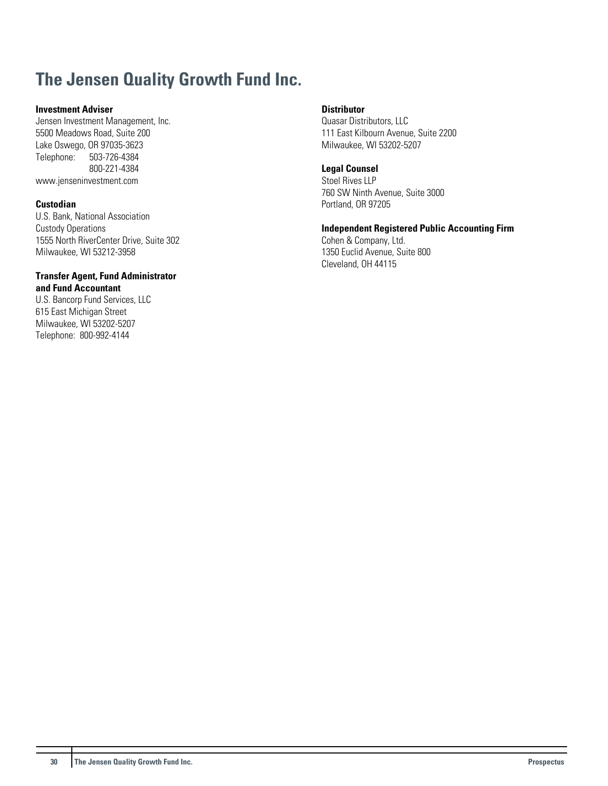## **The Jensen Quality Growth Fund Inc.**

## **Investment Adviser**

Jensen Investment Management, Inc. 5500 Meadows Road, Suite 200 Lake Oswego, OR 97035-3623<br>Telephone: 503-726-4384 Telephone: 503-726-4384 800-221-4384 www.jenseninvestment.com

## **Custodian**

U.S. Bank, National Association Custody Operations 1555 North RiverCenter Drive, Suite 302 Milwaukee, WI 53212-3958

#### **Transfer Agent, Fund Administrator and Fund Accountant**

U.S. Bancorp Fund Services, LLC 615 East Michigan Street Milwaukee, WI 53202-5207 Telephone: 800-992-4144

## **Distributor**

Quasar Distributors, LLC 111 East Kilbourn Avenue, Suite 2200 Milwaukee, WI 53202-5207

#### **Legal Counsel**

Stoel Rives LLP 760 SW Ninth Avenue, Suite 3000 Portland, OR 97205

**Independent Registered Public Accounting Firm** Cohen & Company, Ltd.

1350 Euclid Avenue, Suite 800 Cleveland, OH 44115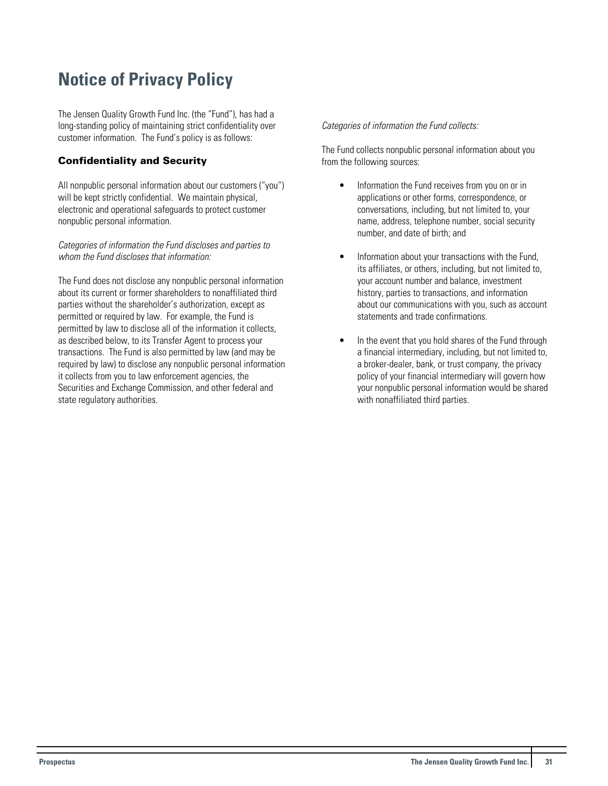## <span id="page-31-0"></span>**Notice of Privacy Policy**

The Jensen Quality Growth Fund Inc. (the "Fund"), has had a long-standing policy of maintaining strict confidentiality over customer information. The Fund's policy is as follows:

## Confidentiality and Security

All nonpublic personal information about our customers ("you") will be kept strictly confidential. We maintain physical, electronic and operational safeguards to protect customer nonpublic personal information.

Categories of information the Fund discloses and parties to whom the Fund discloses that information:

The Fund does not disclose any nonpublic personal information about its current or former shareholders to nonaffiliated third parties without the shareholder's authorization, except as permitted or required by law. For example, the Fund is permitted by law to disclose all of the information it collects, as described below, to its Transfer Agent to process your transactions. The Fund is also permitted by law (and may be required by law) to disclose any nonpublic personal information it collects from you to law enforcement agencies, the Securities and Exchange Commission, and other federal and state regulatory authorities.

### Categories of information the Fund collects:

The Fund collects nonpublic personal information about you from the following sources:

- Information the Fund receives from you on or in applications or other forms, correspondence, or conversations, including, but not limited to, your name, address, telephone number, social security number, and date of birth; and
- Information about your transactions with the Fund, its affiliates, or others, including, but not limited to, your account number and balance, investment history, parties to transactions, and information about our communications with you, such as account statements and trade confirmations.
- In the event that you hold shares of the Fund through a financial intermediary, including, but not limited to, a broker-dealer, bank, or trust company, the privacy policy of your financial intermediary will govern how your nonpublic personal information would be shared with nonaffiliated third parties.